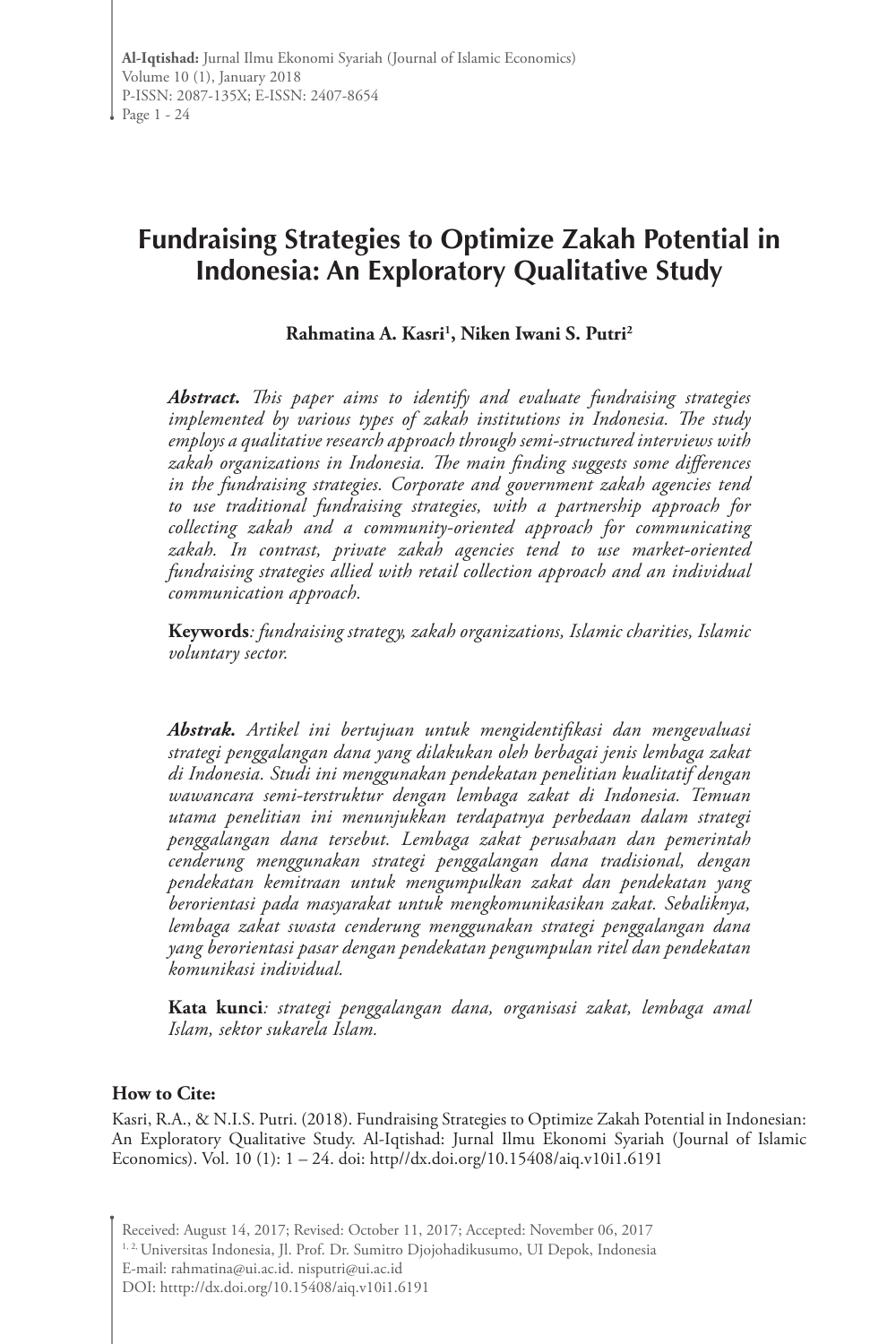# **Fundraising Strategies to Optimize Zakah Potential in Indonesia: An Exploratory Qualitative Study**

## **Rahmatina A. Kasri1 , Niken Iwani S. Putri2**

*Abstract. This paper aims to identify and evaluate fundraising strategies implemented by various types of zakah institutions in Indonesia. The study employs a qualitative research approach through semi-structured interviews with zakah organizations in Indonesia. The main finding suggests some differences in the fundraising strategies. Corporate and government zakah agencies tend to use traditional fundraising strategies, with a partnership approach for collecting zakah and a community-oriented approach for communicating zakah. In contrast, private zakah agencies tend to use market-oriented fundraising strategies allied with retail collection approach and an individual communication approach.* 

**Keywords***: fundraising strategy, zakah organizations, Islamic charities, Islamic voluntary sector.*

*Abstrak. Artikel ini bertujuan untuk mengidentifikasi dan mengevaluasi strategi penggalangan dana yang dilakukan oleh berbagai jenis lembaga zakat di Indonesia. Studi ini menggunakan pendekatan penelitian kualitatif dengan wawancara semi-terstruktur dengan lembaga zakat di Indonesia. Temuan utama penelitian ini menunjukkan terdapatnya perbedaan dalam strategi penggalangan dana tersebut. Lembaga zakat perusahaan dan pemerintah cenderung menggunakan strategi penggalangan dana tradisional, dengan pendekatan kemitraan untuk mengumpulkan zakat dan pendekatan yang berorientasi pada masyarakat untuk mengkomunikasikan zakat. Sebaliknya, lembaga zakat swasta cenderung menggunakan strategi penggalangan dana yang berorientasi pasar dengan pendekatan pengumpulan ritel dan pendekatan komunikasi individual.* 

**Kata kunci***: strategi penggalangan dana, organisasi zakat, lembaga amal Islam, sektor sukarela Islam.*

#### **How to Cite:**

Kasri, R.A., & N.I.S. Putri. (2018). Fundraising Strategies to Optimize Zakah Potential in Indonesian: An Exploratory Qualitative Study. Al-Iqtishad: Jurnal Ilmu Ekonomi Syariah (Journal of Islamic Economics). Vol. 10 (1): 1 – 24. doi: http//dx.doi.org/10.15408/aiq.v10i1.6191

Received: August 14, 2017; Revised: October 11, 2017; Accepted: November 06, 2017 <sup>1, 2,</sup> Universitas Indonesia, Jl. Prof. Dr. Sumitro Djojohadikusumo, UI Depok, Indonesia E-mail: rahmatina@ui.ac.id. nisputri@ui.ac.id DOI: htttp://dx.doi.org/10.15408/aiq.v10i1.6191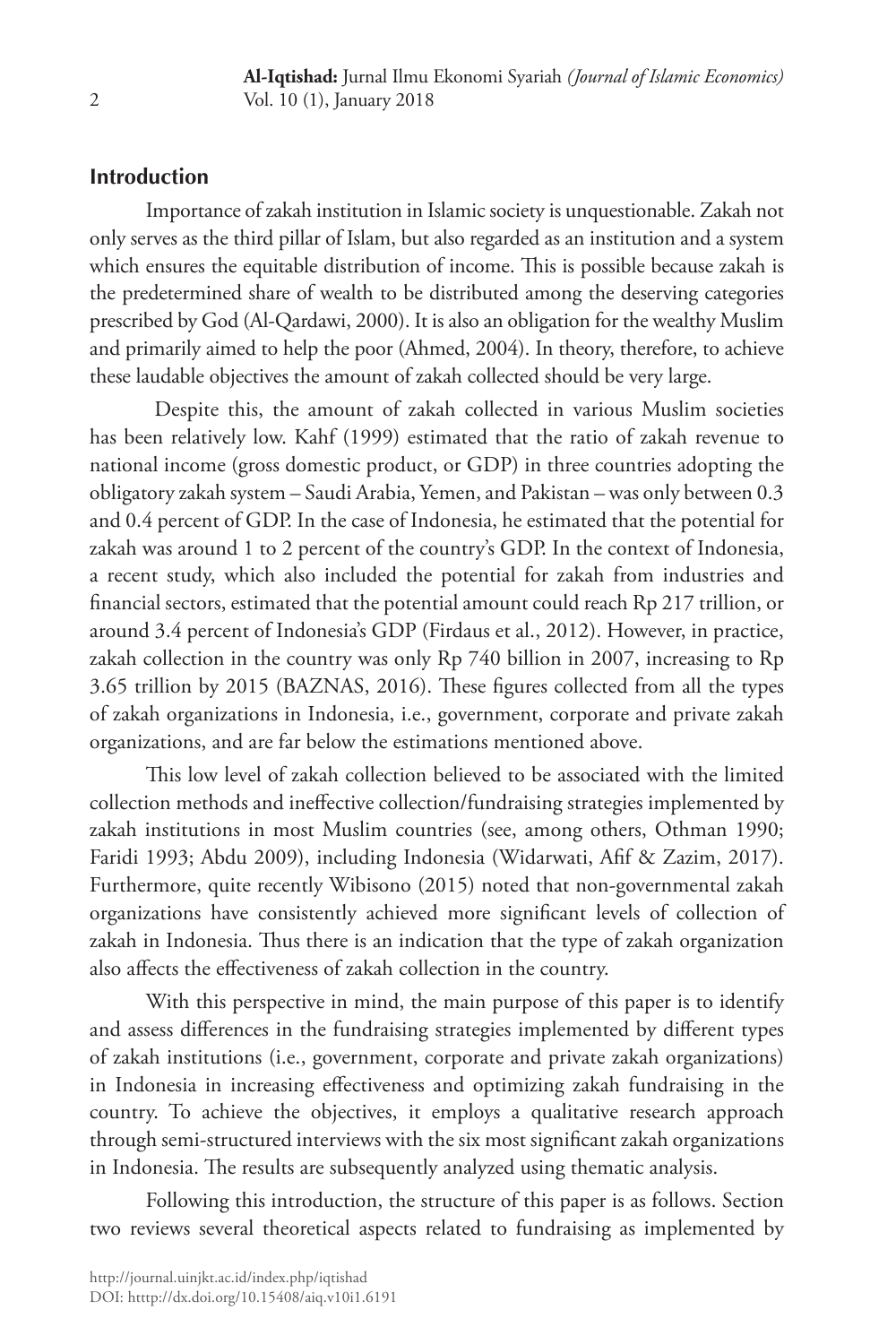# **Introduction**

Importance of zakah institution in Islamic society is unquestionable. Zakah not only serves as the third pillar of Islam, but also regarded as an institution and a system which ensures the equitable distribution of income. This is possible because zakah is the predetermined share of wealth to be distributed among the deserving categories prescribed by God (Al-Qardawi, 2000). It is also an obligation for the wealthy Muslim and primarily aimed to help the poor (Ahmed, 2004). In theory, therefore, to achieve these laudable objectives the amount of zakah collected should be very large.

 Despite this, the amount of zakah collected in various Muslim societies has been relatively low. Kahf (1999) estimated that the ratio of zakah revenue to national income (gross domestic product, or GDP) in three countries adopting the obligatory zakah system – Saudi Arabia, Yemen, and Pakistan – was only between 0.3 and 0.4 percent of GDP. In the case of Indonesia, he estimated that the potential for zakah was around 1 to 2 percent of the country's GDP. In the context of Indonesia, a recent study, which also included the potential for zakah from industries and financial sectors, estimated that the potential amount could reach Rp 217 trillion, or around 3.4 percent of Indonesia's GDP (Firdaus et al., 2012). However, in practice, zakah collection in the country was only Rp 740 billion in 2007, increasing to Rp 3.65 trillion by 2015 (BAZNAS, 2016). These figures collected from all the types of zakah organizations in Indonesia, i.e., government, corporate and private zakah organizations, and are far below the estimations mentioned above.

This low level of zakah collection believed to be associated with the limited collection methods and ineffective collection/fundraising strategies implemented by zakah institutions in most Muslim countries (see, among others, Othman 1990; Faridi 1993; Abdu 2009), including Indonesia (Widarwati, Afif & Zazim, 2017). Furthermore, quite recently Wibisono (2015) noted that non-governmental zakah organizations have consistently achieved more significant levels of collection of zakah in Indonesia. Thus there is an indication that the type of zakah organization also affects the effectiveness of zakah collection in the country.

With this perspective in mind, the main purpose of this paper is to identify and assess differences in the fundraising strategies implemented by different types of zakah institutions (i.e., government, corporate and private zakah organizations) in Indonesia in increasing effectiveness and optimizing zakah fundraising in the country. To achieve the objectives, it employs a qualitative research approach through semi-structured interviews with the six most significant zakah organizations in Indonesia. The results are subsequently analyzed using thematic analysis.

Following this introduction, the structure of this paper is as follows. Section two reviews several theoretical aspects related to fundraising as implemented by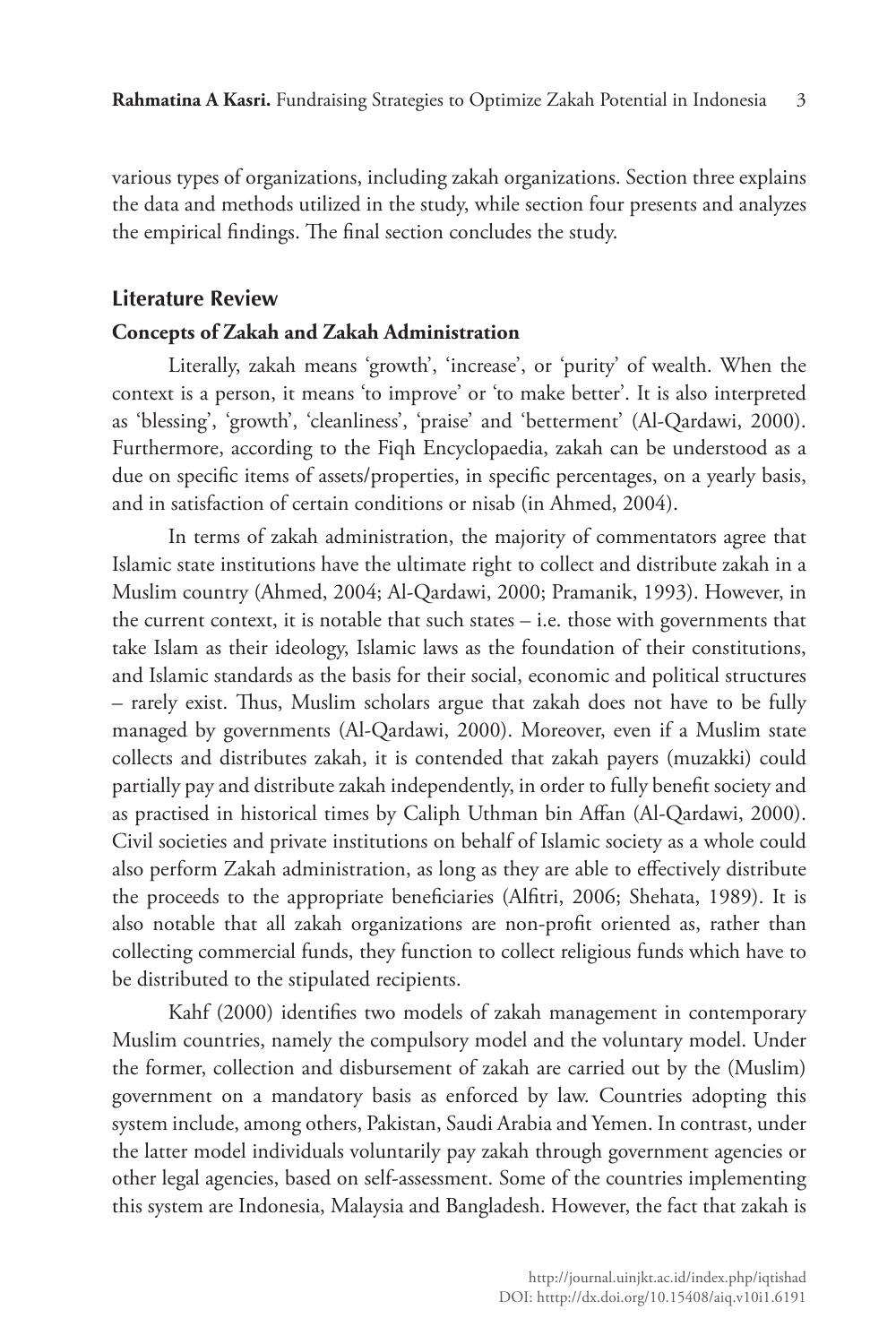various types of organizations, including zakah organizations. Section three explains the data and methods utilized in the study, while section four presents and analyzes the empirical findings. The final section concludes the study.

#### **Literature Review**

#### **Concepts of Zakah and Zakah Administration**

Literally, zakah means 'growth', 'increase', or 'purity' of wealth. When the context is a person, it means 'to improve' or 'to make better'. It is also interpreted as 'blessing', 'growth', 'cleanliness', 'praise' and 'betterment' (Al-Qardawi, 2000). Furthermore, according to the Fiqh Encyclopaedia, zakah can be understood as a due on specific items of assets/properties, in specific percentages, on a yearly basis, and in satisfaction of certain conditions or nisab (in Ahmed, 2004).

In terms of zakah administration, the majority of commentators agree that Islamic state institutions have the ultimate right to collect and distribute zakah in a Muslim country (Ahmed, 2004; Al-Qardawi, 2000; Pramanik, 1993). However, in the current context, it is notable that such states – i.e. those with governments that take Islam as their ideology, Islamic laws as the foundation of their constitutions, and Islamic standards as the basis for their social, economic and political structures – rarely exist. Thus, Muslim scholars argue that zakah does not have to be fully managed by governments (Al-Qardawi, 2000). Moreover, even if a Muslim state collects and distributes zakah, it is contended that zakah payers (muzakki) could partially pay and distribute zakah independently, in order to fully benefit society and as practised in historical times by Caliph Uthman bin Affan (Al-Qardawi, 2000). Civil societies and private institutions on behalf of Islamic society as a whole could also perform Zakah administration, as long as they are able to effectively distribute the proceeds to the appropriate beneficiaries (Alfitri, 2006; Shehata, 1989). It is also notable that all zakah organizations are non-profit oriented as, rather than collecting commercial funds, they function to collect religious funds which have to be distributed to the stipulated recipients.

Kahf (2000) identifies two models of zakah management in contemporary Muslim countries, namely the compulsory model and the voluntary model. Under the former, collection and disbursement of zakah are carried out by the (Muslim) government on a mandatory basis as enforced by law. Countries adopting this system include, among others, Pakistan, Saudi Arabia and Yemen. In contrast, under the latter model individuals voluntarily pay zakah through government agencies or other legal agencies, based on self-assessment. Some of the countries implementing this system are Indonesia, Malaysia and Bangladesh. However, the fact that zakah is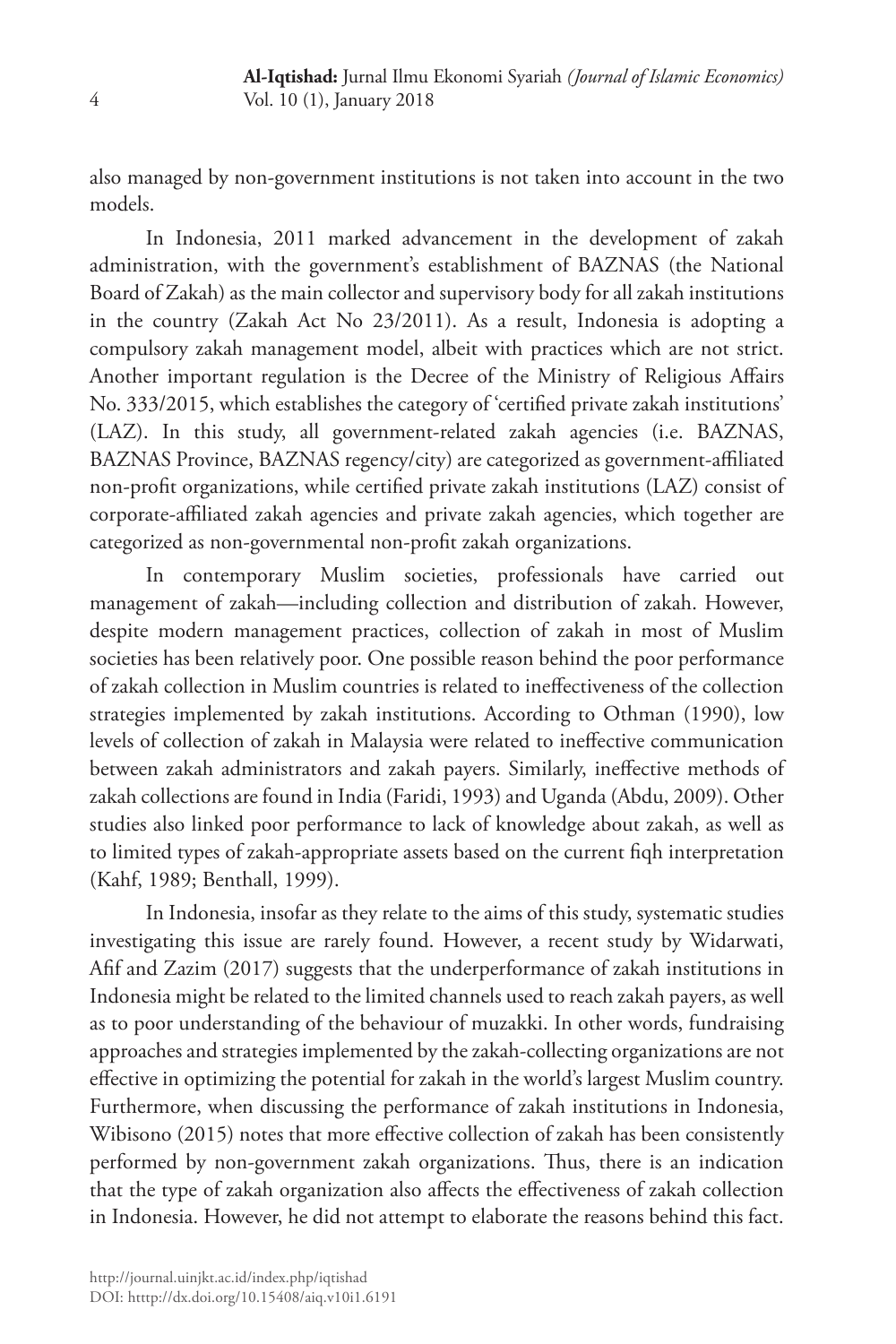also managed by non-government institutions is not taken into account in the two models.

In Indonesia, 2011 marked advancement in the development of zakah administration, with the government's establishment of BAZNAS (the National Board of Zakah) as the main collector and supervisory body for all zakah institutions in the country (Zakah Act No 23/2011). As a result, Indonesia is adopting a compulsory zakah management model, albeit with practices which are not strict. Another important regulation is the Decree of the Ministry of Religious Affairs No. 333/2015, which establishes the category of 'certified private zakah institutions' (LAZ). In this study, all government-related zakah agencies (i.e. BAZNAS, BAZNAS Province, BAZNAS regency/city) are categorized as government-affiliated non-profit organizations, while certified private zakah institutions (LAZ) consist of corporate-affiliated zakah agencies and private zakah agencies, which together are categorized as non-governmental non-profit zakah organizations.

In contemporary Muslim societies, professionals have carried out management of zakah—including collection and distribution of zakah. However, despite modern management practices, collection of zakah in most of Muslim societies has been relatively poor. One possible reason behind the poor performance of zakah collection in Muslim countries is related to ineffectiveness of the collection strategies implemented by zakah institutions. According to Othman (1990), low levels of collection of zakah in Malaysia were related to ineffective communication between zakah administrators and zakah payers. Similarly, ineffective methods of zakah collections are found in India (Faridi, 1993) and Uganda (Abdu, 2009). Other studies also linked poor performance to lack of knowledge about zakah, as well as to limited types of zakah-appropriate assets based on the current fiqh interpretation (Kahf, 1989; Benthall, 1999).

In Indonesia, insofar as they relate to the aims of this study, systematic studies investigating this issue are rarely found. However, a recent study by Widarwati, Afif and Zazim (2017) suggests that the underperformance of zakah institutions in Indonesia might be related to the limited channels used to reach zakah payers, as well as to poor understanding of the behaviour of muzakki. In other words, fundraising approaches and strategies implemented by the zakah-collecting organizations are not effective in optimizing the potential for zakah in the world's largest Muslim country. Furthermore, when discussing the performance of zakah institutions in Indonesia, Wibisono (2015) notes that more effective collection of zakah has been consistently performed by non-government zakah organizations. Thus, there is an indication that the type of zakah organization also affects the effectiveness of zakah collection in Indonesia. However, he did not attempt to elaborate the reasons behind this fact.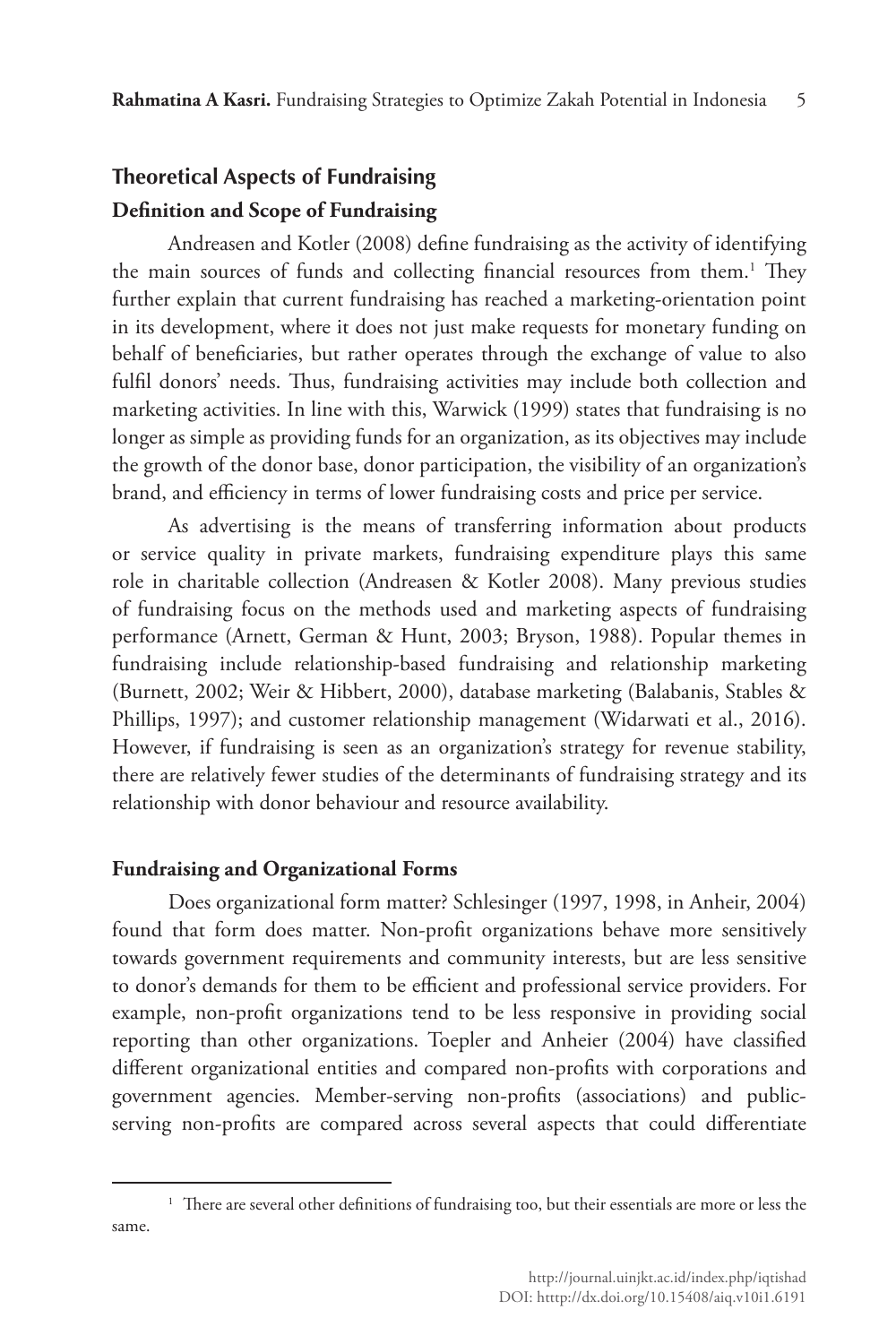# **Theoretical Aspects of Fundraising Definition and Scope of Fundraising**

Andreasen and Kotler (2008) define fundraising as the activity of identifying the main sources of funds and collecting financial resources from them.<sup>1</sup> They further explain that current fundraising has reached a marketing-orientation point in its development, where it does not just make requests for monetary funding on behalf of beneficiaries, but rather operates through the exchange of value to also fulfil donors' needs. Thus, fundraising activities may include both collection and marketing activities. In line with this, Warwick (1999) states that fundraising is no longer as simple as providing funds for an organization, as its objectives may include the growth of the donor base, donor participation, the visibility of an organization's brand, and efficiency in terms of lower fundraising costs and price per service.

As advertising is the means of transferring information about products or service quality in private markets, fundraising expenditure plays this same role in charitable collection (Andreasen & Kotler 2008). Many previous studies of fundraising focus on the methods used and marketing aspects of fundraising performance (Arnett, German & Hunt, 2003; Bryson, 1988). Popular themes in fundraising include relationship-based fundraising and relationship marketing (Burnett, 2002; Weir & Hibbert, 2000), database marketing (Balabanis, Stables & Phillips, 1997); and customer relationship management (Widarwati et al., 2016). However, if fundraising is seen as an organization's strategy for revenue stability, there are relatively fewer studies of the determinants of fundraising strategy and its relationship with donor behaviour and resource availability.

## **Fundraising and Organizational Forms**

Does organizational form matter? Schlesinger (1997, 1998, in Anheir, 2004) found that form does matter. Non-profit organizations behave more sensitively towards government requirements and community interests, but are less sensitive to donor's demands for them to be efficient and professional service providers. For example, non-profit organizations tend to be less responsive in providing social reporting than other organizations. Toepler and Anheier (2004) have classified different organizational entities and compared non-profits with corporations and government agencies. Member-serving non-profits (associations) and publicserving non-profits are compared across several aspects that could differentiate

<sup>&</sup>lt;sup>1</sup> There are several other definitions of fundraising too, but their essentials are more or less the same.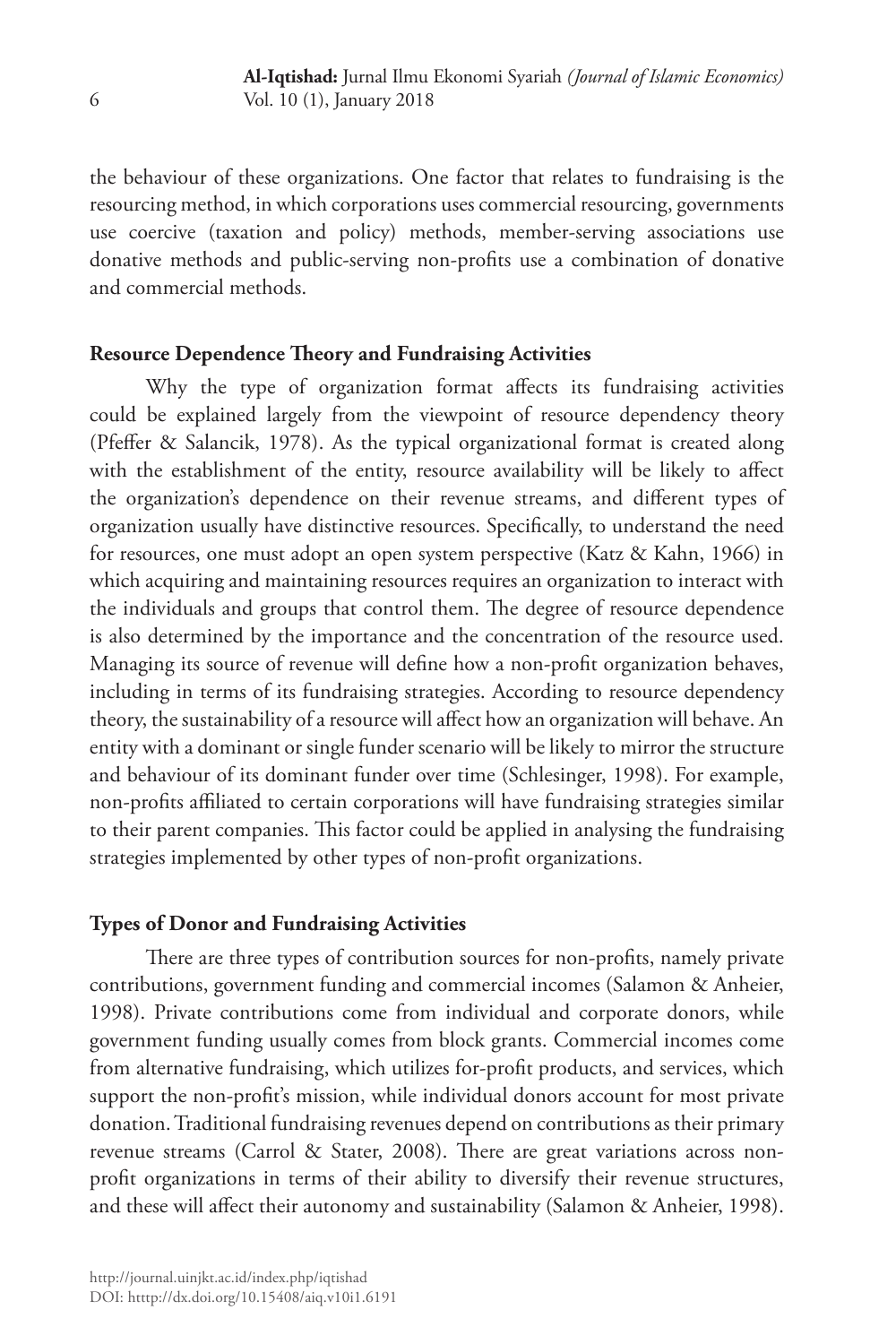the behaviour of these organizations. One factor that relates to fundraising is the resourcing method, in which corporations uses commercial resourcing, governments use coercive (taxation and policy) methods, member-serving associations use donative methods and public-serving non-profits use a combination of donative and commercial methods.

## **Resource Dependence Theory and Fundraising Activities**

Why the type of organization format affects its fundraising activities could be explained largely from the viewpoint of resource dependency theory (Pfeffer & Salancik, 1978). As the typical organizational format is created along with the establishment of the entity, resource availability will be likely to affect the organization's dependence on their revenue streams, and different types of organization usually have distinctive resources. Specifically, to understand the need for resources, one must adopt an open system perspective (Katz & Kahn, 1966) in which acquiring and maintaining resources requires an organization to interact with the individuals and groups that control them. The degree of resource dependence is also determined by the importance and the concentration of the resource used. Managing its source of revenue will define how a non-profit organization behaves, including in terms of its fundraising strategies. According to resource dependency theory, the sustainability of a resource will affect how an organization will behave. An entity with a dominant or single funder scenario will be likely to mirror the structure and behaviour of its dominant funder over time (Schlesinger, 1998). For example, non-profits affiliated to certain corporations will have fundraising strategies similar to their parent companies. This factor could be applied in analysing the fundraising strategies implemented by other types of non-profit organizations.

## **Types of Donor and Fundraising Activities**

There are three types of contribution sources for non-profits, namely private contributions, government funding and commercial incomes (Salamon & Anheier, 1998). Private contributions come from individual and corporate donors, while government funding usually comes from block grants. Commercial incomes come from alternative fundraising, which utilizes for-profit products, and services, which support the non-profit's mission, while individual donors account for most private donation. Traditional fundraising revenues depend on contributions as their primary revenue streams (Carrol & Stater, 2008). There are great variations across nonprofit organizations in terms of their ability to diversify their revenue structures, and these will affect their autonomy and sustainability (Salamon & Anheier, 1998).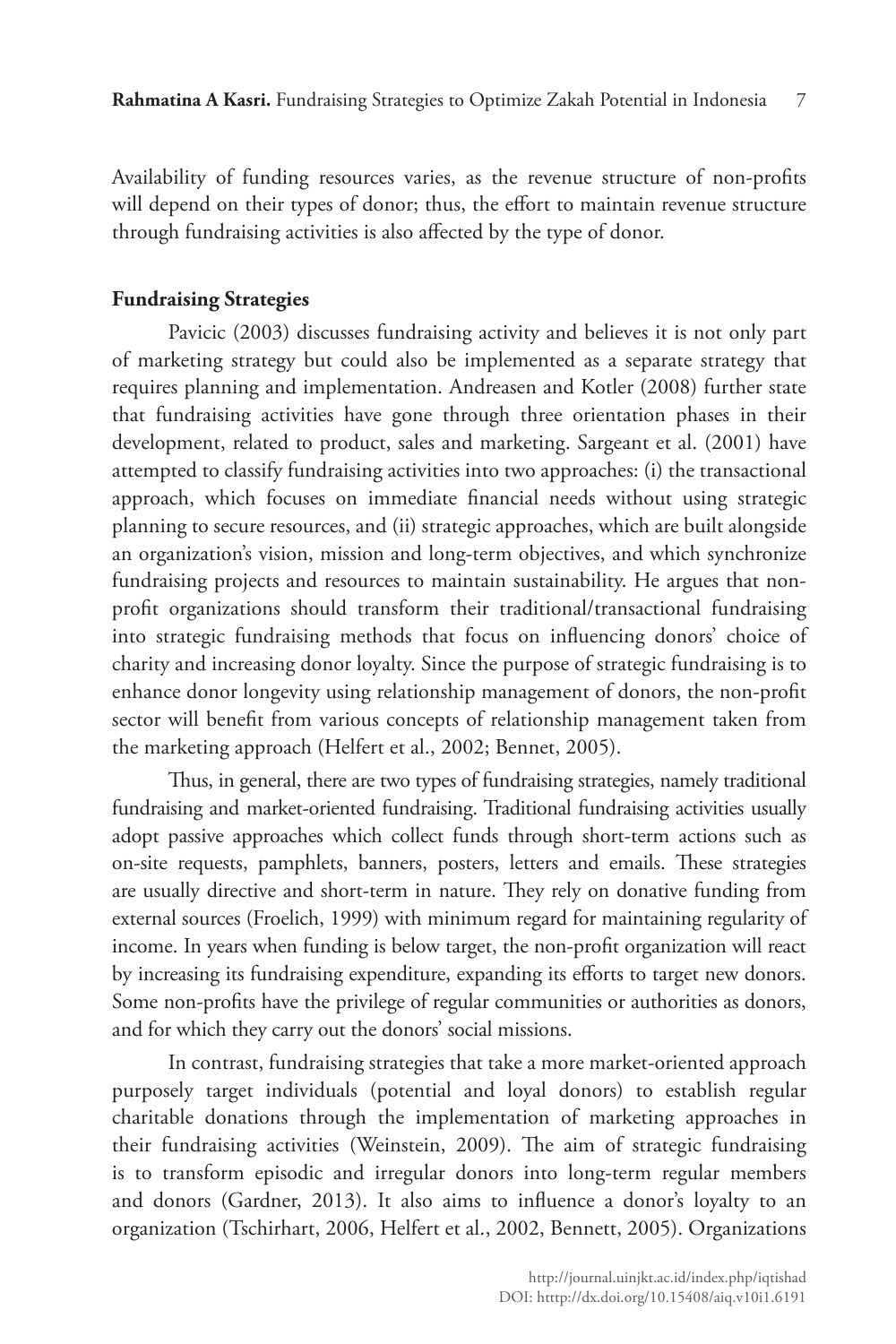Availability of funding resources varies, as the revenue structure of non-profits will depend on their types of donor; thus, the effort to maintain revenue structure through fundraising activities is also affected by the type of donor.

#### **Fundraising Strategies**

Pavicic (2003) discusses fundraising activity and believes it is not only part of marketing strategy but could also be implemented as a separate strategy that requires planning and implementation. Andreasen and Kotler (2008) further state that fundraising activities have gone through three orientation phases in their development, related to product, sales and marketing. Sargeant et al. (2001) have attempted to classify fundraising activities into two approaches: (i) the transactional approach, which focuses on immediate financial needs without using strategic planning to secure resources, and (ii) strategic approaches, which are built alongside an organization's vision, mission and long-term objectives, and which synchronize fundraising projects and resources to maintain sustainability. He argues that nonprofit organizations should transform their traditional/transactional fundraising into strategic fundraising methods that focus on influencing donors' choice of charity and increasing donor loyalty. Since the purpose of strategic fundraising is to enhance donor longevity using relationship management of donors, the non-profit sector will benefit from various concepts of relationship management taken from the marketing approach (Helfert et al., 2002; Bennet, 2005).

Thus, in general, there are two types of fundraising strategies, namely traditional fundraising and market-oriented fundraising. Traditional fundraising activities usually adopt passive approaches which collect funds through short-term actions such as on-site requests, pamphlets, banners, posters, letters and emails. These strategies are usually directive and short-term in nature. They rely on donative funding from external sources (Froelich, 1999) with minimum regard for maintaining regularity of income. In years when funding is below target, the non-profit organization will react by increasing its fundraising expenditure, expanding its efforts to target new donors. Some non-profits have the privilege of regular communities or authorities as donors, and for which they carry out the donors' social missions.

In contrast, fundraising strategies that take a more market-oriented approach purposely target individuals (potential and loyal donors) to establish regular charitable donations through the implementation of marketing approaches in their fundraising activities (Weinstein, 2009). The aim of strategic fundraising is to transform episodic and irregular donors into long-term regular members and donors (Gardner, 2013). It also aims to influence a donor's loyalty to an organization (Tschirhart, 2006, Helfert et al., 2002, Bennett, 2005). Organizations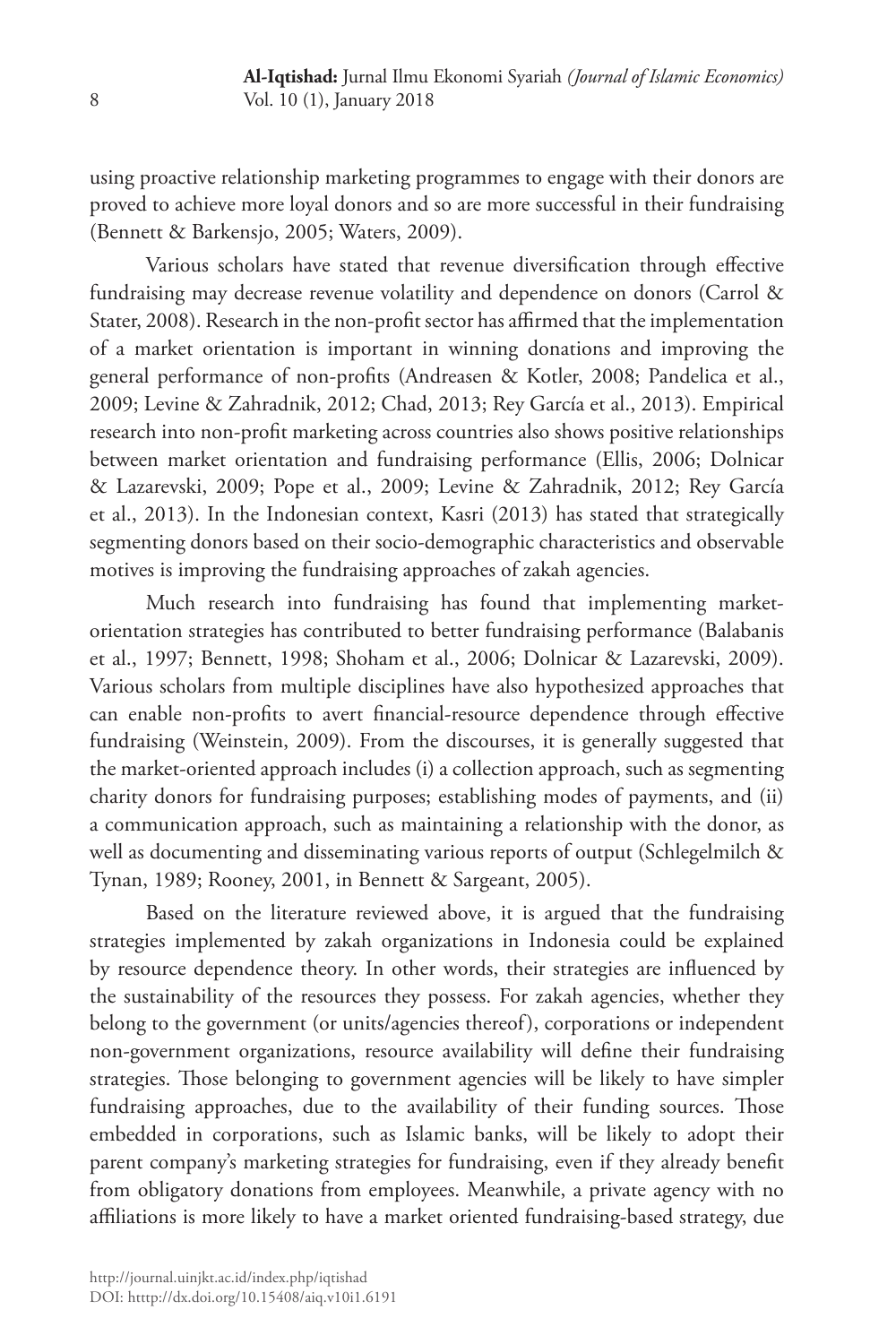using proactive relationship marketing programmes to engage with their donors are proved to achieve more loyal donors and so are more successful in their fundraising (Bennett & Barkensjo, 2005; Waters, 2009).

Various scholars have stated that revenue diversification through effective fundraising may decrease revenue volatility and dependence on donors (Carrol & Stater, 2008). Research in the non-profit sector has affirmed that the implementation of a market orientation is important in winning donations and improving the general performance of non-profits (Andreasen & Kotler, 2008; Pandelica et al., 2009; Levine & Zahradnik, 2012; Chad, 2013; Rey García et al., 2013). Empirical research into non-profit marketing across countries also shows positive relationships between market orientation and fundraising performance (Ellis, 2006; Dolnicar & Lazarevski, 2009; Pope et al., 2009; Levine & Zahradnik, 2012; Rey García et al., 2013). In the Indonesian context, Kasri (2013) has stated that strategically segmenting donors based on their socio-demographic characteristics and observable motives is improving the fundraising approaches of zakah agencies.

Much research into fundraising has found that implementing marketorientation strategies has contributed to better fundraising performance (Balabanis et al., 1997; Bennett, 1998; Shoham et al., 2006; Dolnicar & Lazarevski, 2009). Various scholars from multiple disciplines have also hypothesized approaches that can enable non-profits to avert financial-resource dependence through effective fundraising (Weinstein, 2009). From the discourses, it is generally suggested that the market-oriented approach includes (i) a collection approach, such as segmenting charity donors for fundraising purposes; establishing modes of payments, and (ii) a communication approach, such as maintaining a relationship with the donor, as well as documenting and disseminating various reports of output (Schlegelmilch & Tynan, 1989; Rooney, 2001, in Bennett & Sargeant, 2005).

Based on the literature reviewed above, it is argued that the fundraising strategies implemented by zakah organizations in Indonesia could be explained by resource dependence theory. In other words, their strategies are influenced by the sustainability of the resources they possess. For zakah agencies, whether they belong to the government (or units/agencies thereof), corporations or independent non-government organizations, resource availability will define their fundraising strategies. Those belonging to government agencies will be likely to have simpler fundraising approaches, due to the availability of their funding sources. Those embedded in corporations, such as Islamic banks, will be likely to adopt their parent company's marketing strategies for fundraising, even if they already benefit from obligatory donations from employees. Meanwhile, a private agency with no affiliations is more likely to have a market oriented fundraising-based strategy, due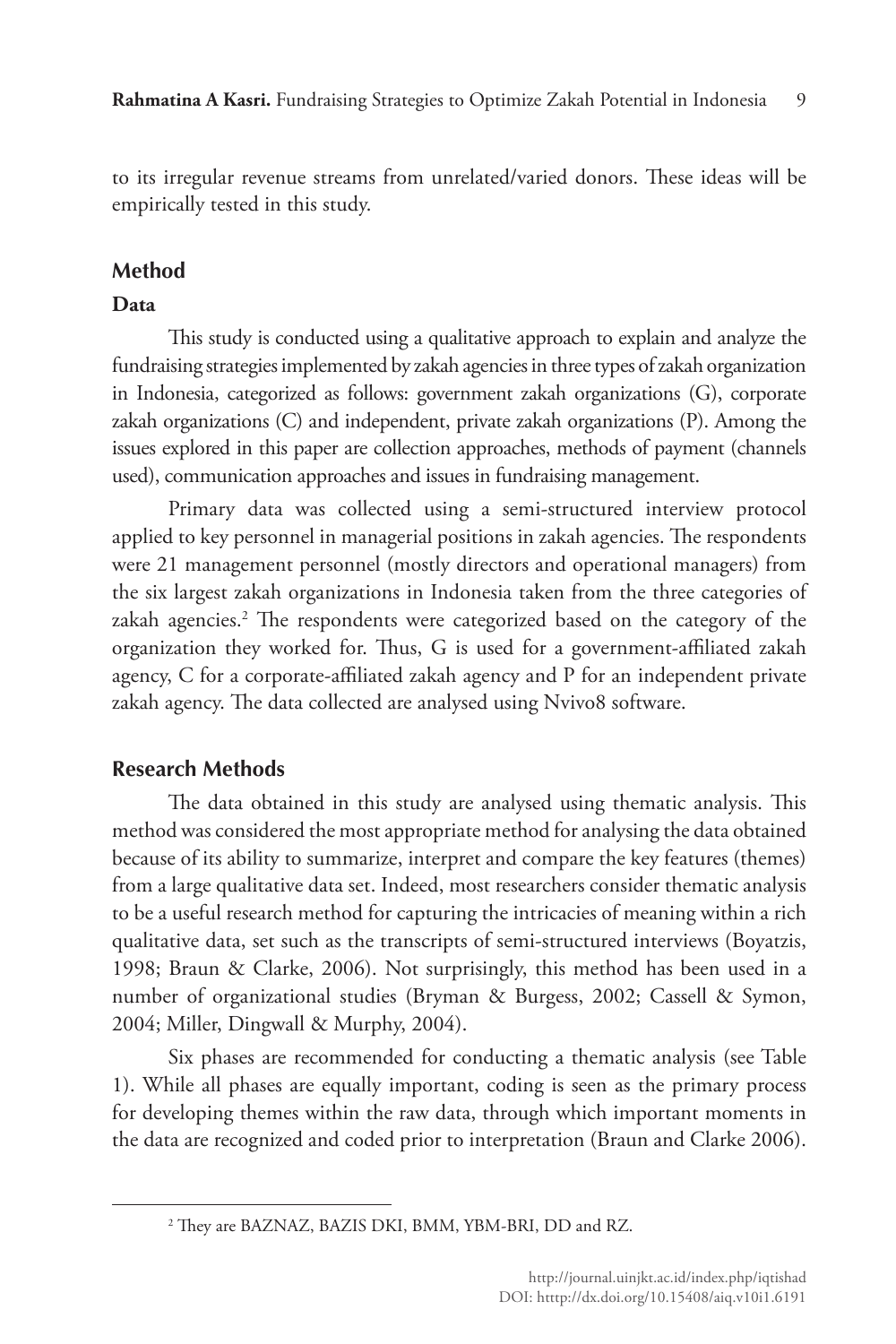to its irregular revenue streams from unrelated/varied donors. These ideas will be empirically tested in this study.

# **Method**

# **Data**

This study is conducted using a qualitative approach to explain and analyze the fundraising strategies implemented by zakah agencies in three types of zakah organization in Indonesia, categorized as follows: government zakah organizations (G), corporate zakah organizations (C) and independent, private zakah organizations (P). Among the issues explored in this paper are collection approaches, methods of payment (channels used), communication approaches and issues in fundraising management.

Primary data was collected using a semi-structured interview protocol applied to key personnel in managerial positions in zakah agencies. The respondents were 21 management personnel (mostly directors and operational managers) from the six largest zakah organizations in Indonesia taken from the three categories of zakah agencies.2 The respondents were categorized based on the category of the organization they worked for. Thus, G is used for a government-affiliated zakah agency, C for a corporate-affiliated zakah agency and P for an independent private zakah agency. The data collected are analysed using Nvivo8 software.

# **Research Methods**

The data obtained in this study are analysed using thematic analysis. This method was considered the most appropriate method for analysing the data obtained because of its ability to summarize, interpret and compare the key features (themes) from a large qualitative data set. Indeed, most researchers consider thematic analysis to be a useful research method for capturing the intricacies of meaning within a rich qualitative data, set such as the transcripts of semi-structured interviews (Boyatzis, 1998; Braun & Clarke, 2006). Not surprisingly, this method has been used in a number of organizational studies (Bryman & Burgess, 2002; Cassell & Symon, 2004; Miller, Dingwall & Murphy, 2004).

Six phases are recommended for conducting a thematic analysis (see Table 1). While all phases are equally important, coding is seen as the primary process for developing themes within the raw data, through which important moments in the data are recognized and coded prior to interpretation (Braun and Clarke 2006).

<sup>2</sup> They are BAZNAZ, BAZIS DKI, BMM, YBM-BRI, DD and RZ.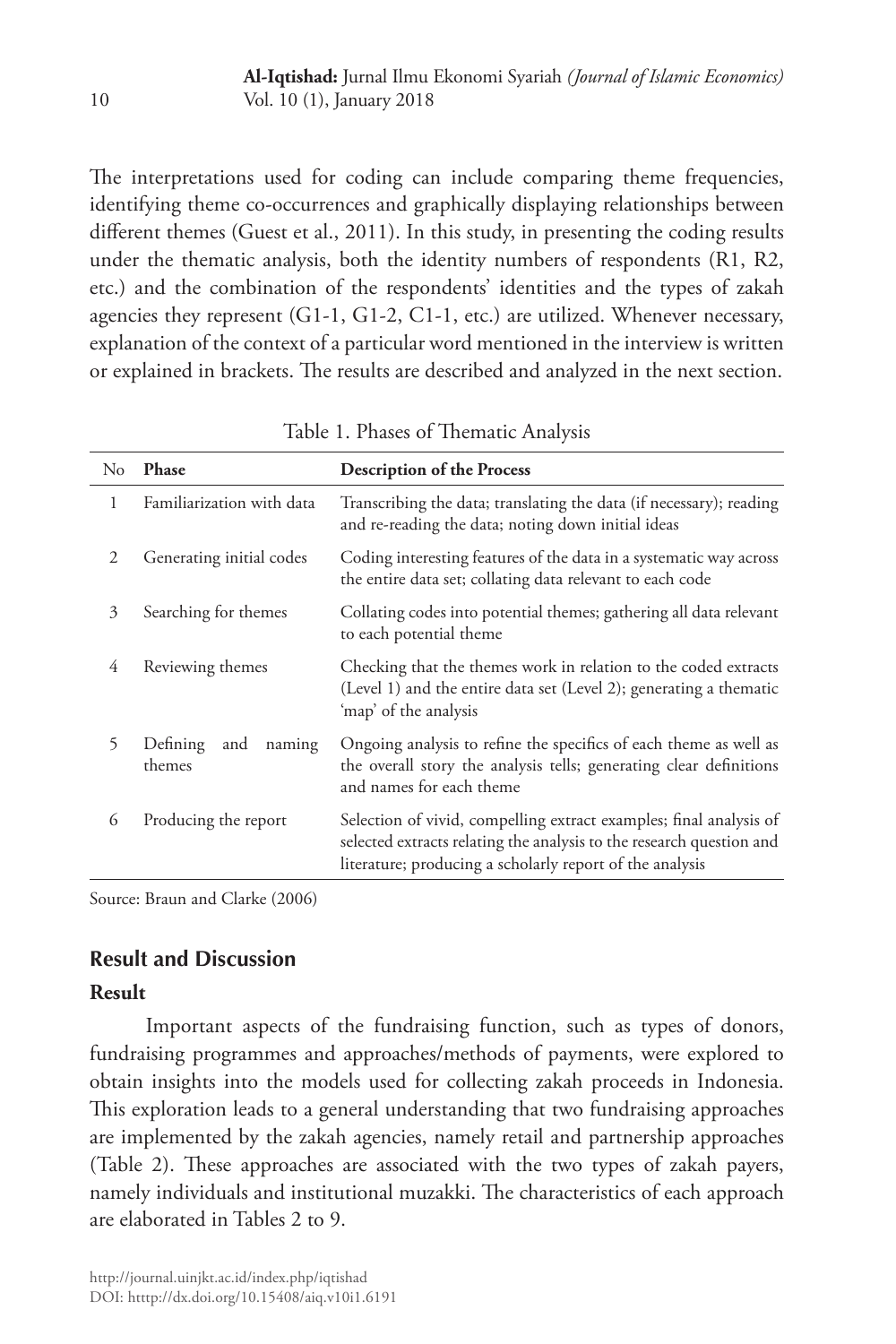The interpretations used for coding can include comparing theme frequencies, identifying theme co-occurrences and graphically displaying relationships between different themes (Guest et al., 2011). In this study, in presenting the coding results under the thematic analysis, both the identity numbers of respondents (R1, R2, etc.) and the combination of the respondents' identities and the types of zakah agencies they represent (G1-1, G1-2, C1-1, etc.) are utilized. Whenever necessary, explanation of the context of a particular word mentioned in the interview is written or explained in brackets. The results are described and analyzed in the next section.

| $\rm No$ | Phase                               | <b>Description of the Process</b>                                                                                                                                                                      |  |  |
|----------|-------------------------------------|--------------------------------------------------------------------------------------------------------------------------------------------------------------------------------------------------------|--|--|
| 1        | Familiarization with data           | Transcribing the data; translating the data (if necessary); reading<br>and re-reading the data; noting down initial ideas                                                                              |  |  |
| 2        | Generating initial codes            | Coding interesting features of the data in a systematic way across<br>the entire data set; collating data relevant to each code                                                                        |  |  |
| 3        | Searching for themes                | Collating codes into potential themes; gathering all data relevant<br>to each potential theme                                                                                                          |  |  |
| 4        | Reviewing themes                    | Checking that the themes work in relation to the coded extracts<br>(Level 1) and the entire data set (Level 2); generating a thematic<br>'map' of the analysis                                         |  |  |
| 5        | Defining<br>and<br>naming<br>themes | Ongoing analysis to refine the specifics of each theme as well as<br>the overall story the analysis tells; generating clear definitions<br>and names for each theme                                    |  |  |
| 6        | Producing the report                | Selection of vivid, compelling extract examples; final analysis of<br>selected extracts relating the analysis to the research question and<br>literature; producing a scholarly report of the analysis |  |  |

Table 1. Phases of Thematic Analysis

Source: Braun and Clarke (2006)

## **Result and Discussion**

#### **Result**

Important aspects of the fundraising function, such as types of donors, fundraising programmes and approaches/methods of payments, were explored to obtain insights into the models used for collecting zakah proceeds in Indonesia. This exploration leads to a general understanding that two fundraising approaches are implemented by the zakah agencies, namely retail and partnership approaches (Table 2). These approaches are associated with the two types of zakah payers, namely individuals and institutional muzakki. The characteristics of each approach are elaborated in Tables 2 to 9.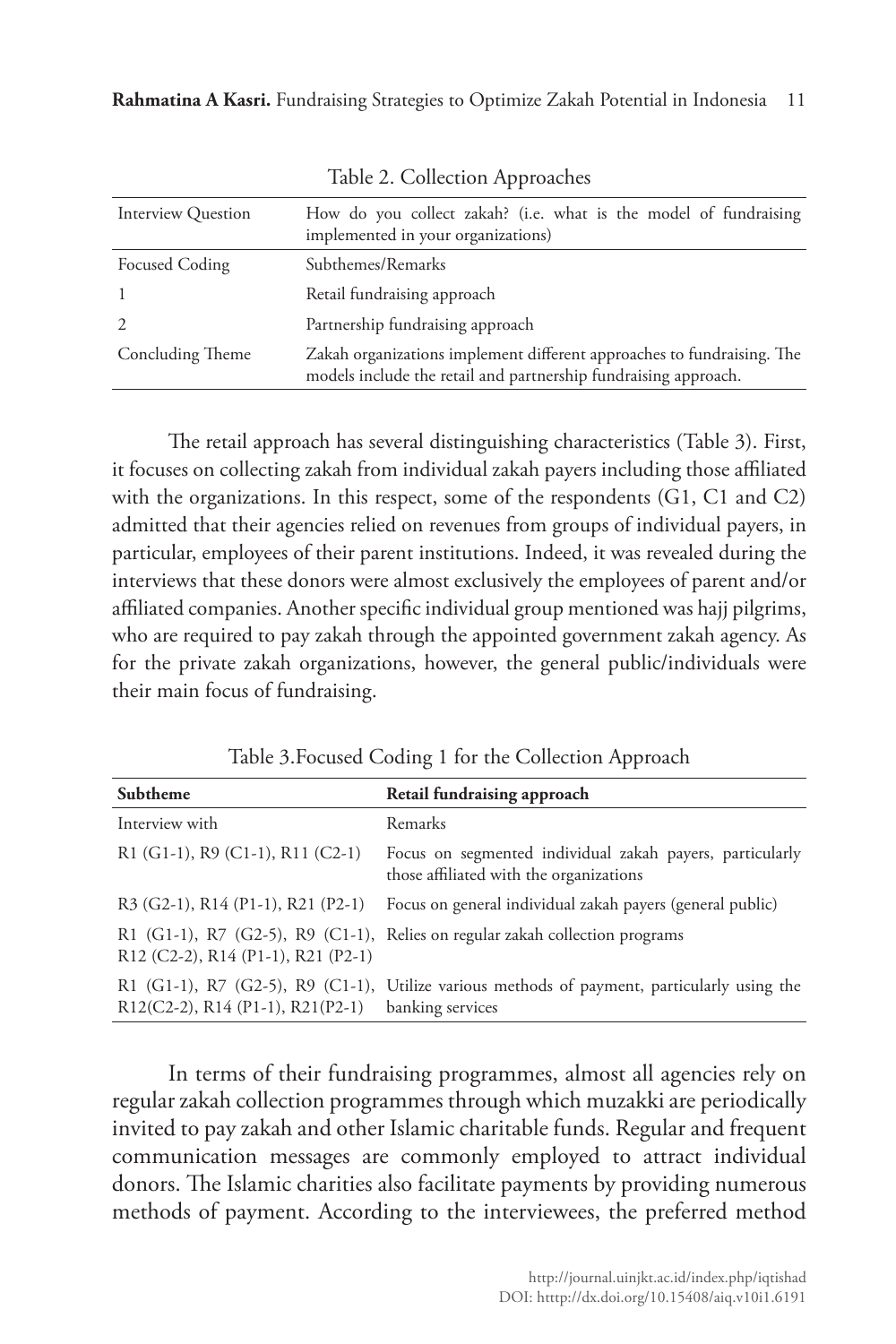| <b>Interview Question</b> | How do you collect zakah? (i.e. what is the model of fundraising<br>implemented in your organizations)                                    |  |  |
|---------------------------|-------------------------------------------------------------------------------------------------------------------------------------------|--|--|
| <b>Focused Coding</b>     | Subthemes/Remarks                                                                                                                         |  |  |
|                           | Retail fundraising approach                                                                                                               |  |  |
|                           | Partnership fundraising approach                                                                                                          |  |  |
| Concluding Theme          | Zakah organizations implement different approaches to fundraising. The<br>models include the retail and partnership fundraising approach. |  |  |

Table 2. Collection Approaches

The retail approach has several distinguishing characteristics (Table 3). First, it focuses on collecting zakah from individual zakah payers including those affiliated with the organizations. In this respect, some of the respondents (G1, C1 and C2) admitted that their agencies relied on revenues from groups of individual payers, in particular, employees of their parent institutions. Indeed, it was revealed during the interviews that these donors were almost exclusively the employees of parent and/or affiliated companies. Another specific individual group mentioned was hajj pilgrims, who are required to pay zakah through the appointed government zakah agency. As for the private zakah organizations, however, the general public/individuals were their main focus of fundraising.

Table 3.Focused Coding 1 for the Collection Approach

| Subtheme                                | Retail fundraising approach                                                                                     |
|-----------------------------------------|-----------------------------------------------------------------------------------------------------------------|
| Interview with                          | Remarks                                                                                                         |
| R1 (G1-1), R9 (C1-1), R11 (C2-1)        | Focus on segmented individual zakah payers, particularly<br>those affiliated with the organizations             |
| $R3$ (G2-1), $R14$ (P1-1), $R21$ (P2-1) | Focus on general individual zakah payers (general public)                                                       |
| R12 (C2-2), R14 (P1-1), R21 (P2-1)      | R1 (G1-1), R7 (G2-5), R9 (C1-1), Relies on regular zakah collection programs                                    |
| R12(C2-2), R14 (P1-1), R21(P2-1)        | R1 (G1-1), R7 (G2-5), R9 (C1-1), Utilize various methods of payment, particularly using the<br>banking services |

In terms of their fundraising programmes, almost all agencies rely on regular zakah collection programmes through which muzakki are periodically invited to pay zakah and other Islamic charitable funds. Regular and frequent communication messages are commonly employed to attract individual donors. The Islamic charities also facilitate payments by providing numerous methods of payment. According to the interviewees, the preferred method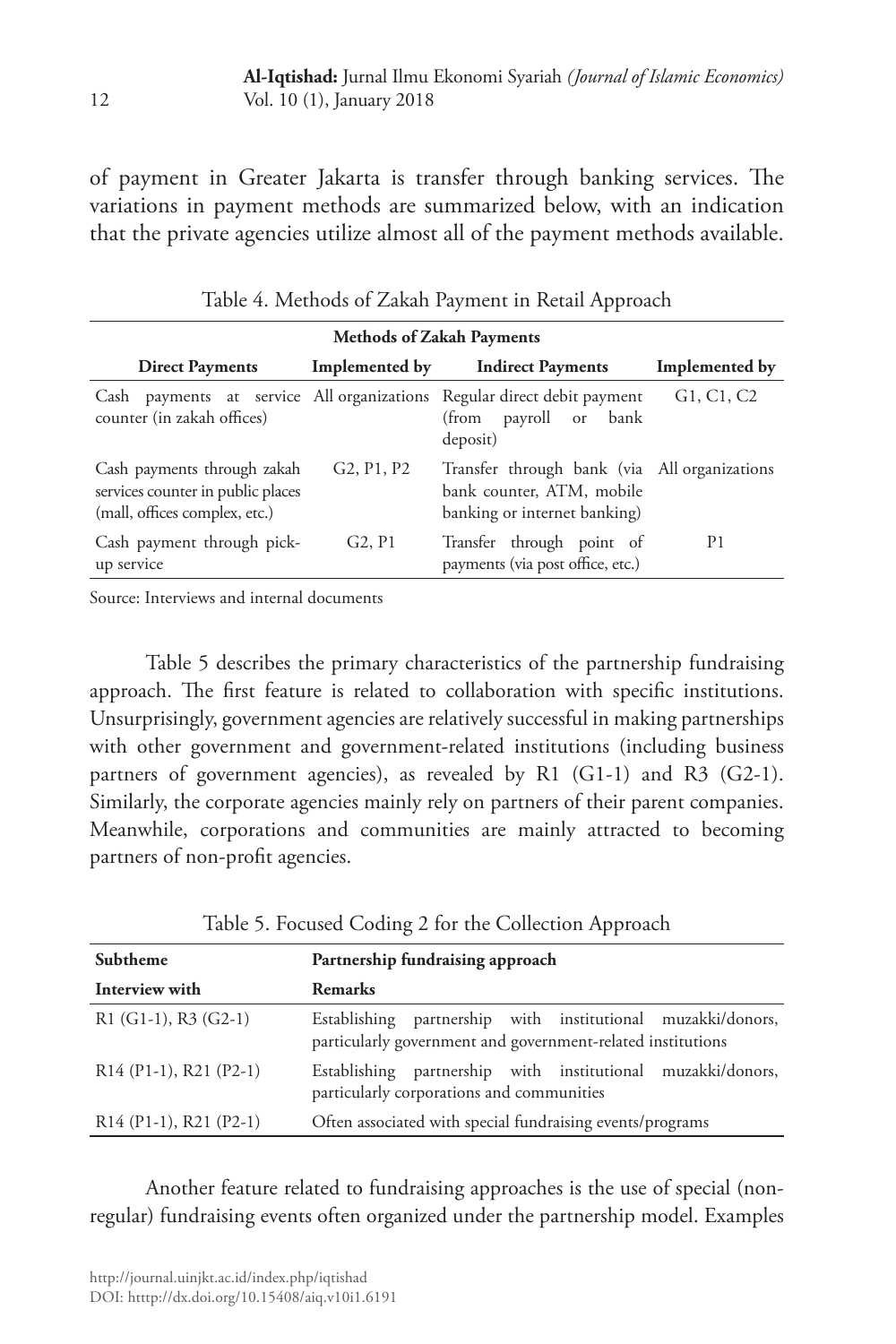of payment in Greater Jakarta is transfer through banking services. The variations in payment methods are summarized below, with an indication that the private agencies utilize almost all of the payment methods available.

| <b>Methods of Zakah Payments</b>                                                                      |                                                  |                                                                                                           |                |  |  |  |
|-------------------------------------------------------------------------------------------------------|--------------------------------------------------|-----------------------------------------------------------------------------------------------------------|----------------|--|--|--|
| <b>Direct Payments</b>                                                                                | Implemented by                                   | <b>Indirect Payments</b>                                                                                  | Implemented by |  |  |  |
| Cash payments at service All organizations Regular direct debit payment<br>counter (in zakah offices) |                                                  | payroll or<br>bank<br>(from<br>deposit)                                                                   | G1, C1, C2     |  |  |  |
| Cash payments through zakah<br>services counter in public places<br>(mall, offices complex, etc.)     | G <sub>2</sub> , P <sub>1</sub> , P <sub>2</sub> | Transfer through bank (via All organizations<br>bank counter, ATM, mobile<br>banking or internet banking) |                |  |  |  |
| Cash payment through pick-<br>up service                                                              | G2, P1                                           | Transfer through point of<br>payments (via post office, etc.)                                             | P <sub>1</sub> |  |  |  |

Table 4. Methods of Zakah Payment in Retail Approach

Source: Interviews and internal documents

Table 5 describes the primary characteristics of the partnership fundraising approach. The first feature is related to collaboration with specific institutions. Unsurprisingly, government agencies are relatively successful in making partnerships with other government and government-related institutions (including business partners of government agencies), as revealed by R1 (G1-1) and R3 (G2-1). Similarly, the corporate agencies mainly rely on partners of their parent companies. Meanwhile, corporations and communities are mainly attracted to becoming partners of non-profit agencies.

| Subtheme                 | Partnership fundraising approach                                                                                           |  |  |  |
|--------------------------|----------------------------------------------------------------------------------------------------------------------------|--|--|--|
| Interview with           | <b>Remarks</b>                                                                                                             |  |  |  |
| $R1$ (G1-1), R3 (G2-1)   | Establishing partnership with institutional muzakki/donors,<br>particularly government and government-related institutions |  |  |  |
| $R14 (P1-1), R21 (P2-1)$ | Establishing partnership with institutional muzakki/donors,<br>particularly corporations and communities                   |  |  |  |
| $R14 (P1-1), R21 (P2-1)$ | Often associated with special fundraising events/programs                                                                  |  |  |  |

Table 5. Focused Coding 2 for the Collection Approach

Another feature related to fundraising approaches is the use of special (nonregular) fundraising events often organized under the partnership model. Examples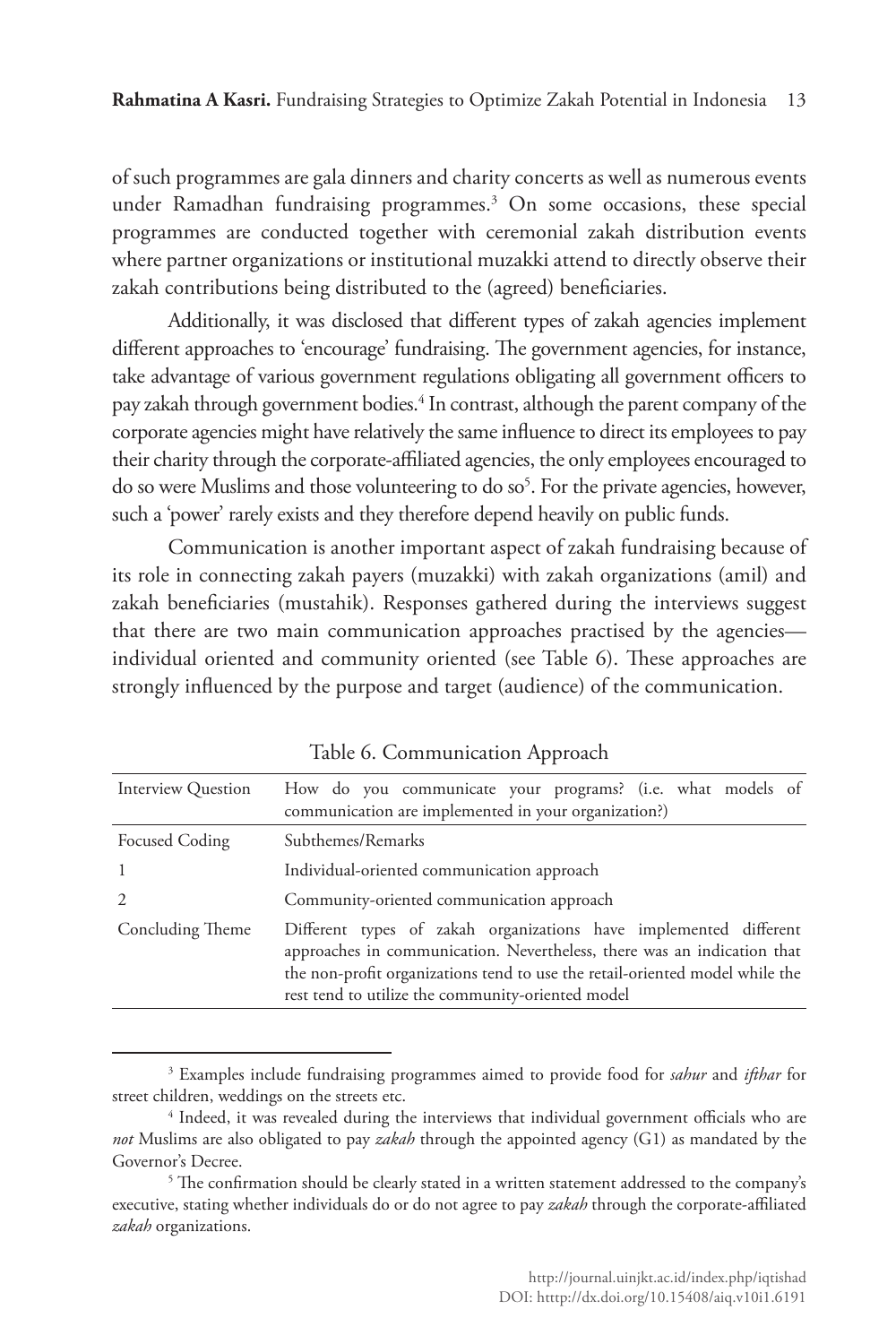of such programmes are gala dinners and charity concerts as well as numerous events under Ramadhan fundraising programmes.<sup>3</sup> On some occasions, these special programmes are conducted together with ceremonial zakah distribution events where partner organizations or institutional muzakki attend to directly observe their zakah contributions being distributed to the (agreed) beneficiaries.

Additionally, it was disclosed that different types of zakah agencies implement different approaches to 'encourage' fundraising. The government agencies, for instance, take advantage of various government regulations obligating all government officers to pay zakah through government bodies.<sup>4</sup> In contrast, although the parent company of the corporate agencies might have relatively the same influence to direct its employees to pay their charity through the corporate-affiliated agencies, the only employees encouraged to do so were Muslims and those volunteering to do so<sup>5</sup>. For the private agencies, however, such a 'power' rarely exists and they therefore depend heavily on public funds.

Communication is another important aspect of zakah fundraising because of its role in connecting zakah payers (muzakki) with zakah organizations (amil) and zakah beneficiaries (mustahik). Responses gathered during the interviews suggest that there are two main communication approaches practised by the agencies individual oriented and community oriented (see Table 6). These approaches are strongly influenced by the purpose and target (audience) of the communication.

| Interview Question | How do you communicate your programs? (i.e. what models of<br>communication are implemented in your organization?)                                                                                                                                                                |  |  |  |  |
|--------------------|-----------------------------------------------------------------------------------------------------------------------------------------------------------------------------------------------------------------------------------------------------------------------------------|--|--|--|--|
| Focused Coding     | Subthemes/Remarks                                                                                                                                                                                                                                                                 |  |  |  |  |
|                    | Individual-oriented communication approach                                                                                                                                                                                                                                        |  |  |  |  |
|                    | Community-oriented communication approach                                                                                                                                                                                                                                         |  |  |  |  |
| Concluding Theme   | Different types of zakah organizations have implemented different<br>approaches in communication. Nevertheless, there was an indication that<br>the non-profit organizations tend to use the retail-oriented model while the<br>rest tend to utilize the community-oriented model |  |  |  |  |

Table 6. Communication Approach

<sup>3</sup> Examples include fundraising programmes aimed to provide food for *sahur* and *ifthar* for street children, weddings on the streets etc.

<sup>4</sup> Indeed, it was revealed during the interviews that individual government officials who are *not* Muslims are also obligated to pay *zakah* through the appointed agency (G1) as mandated by the Governor's Decree.

 $5$  The confirmation should be clearly stated in a written statement addressed to the company's executive, stating whether individuals do or do not agree to pay *zakah* through the corporate-affiliated *zakah* organizations.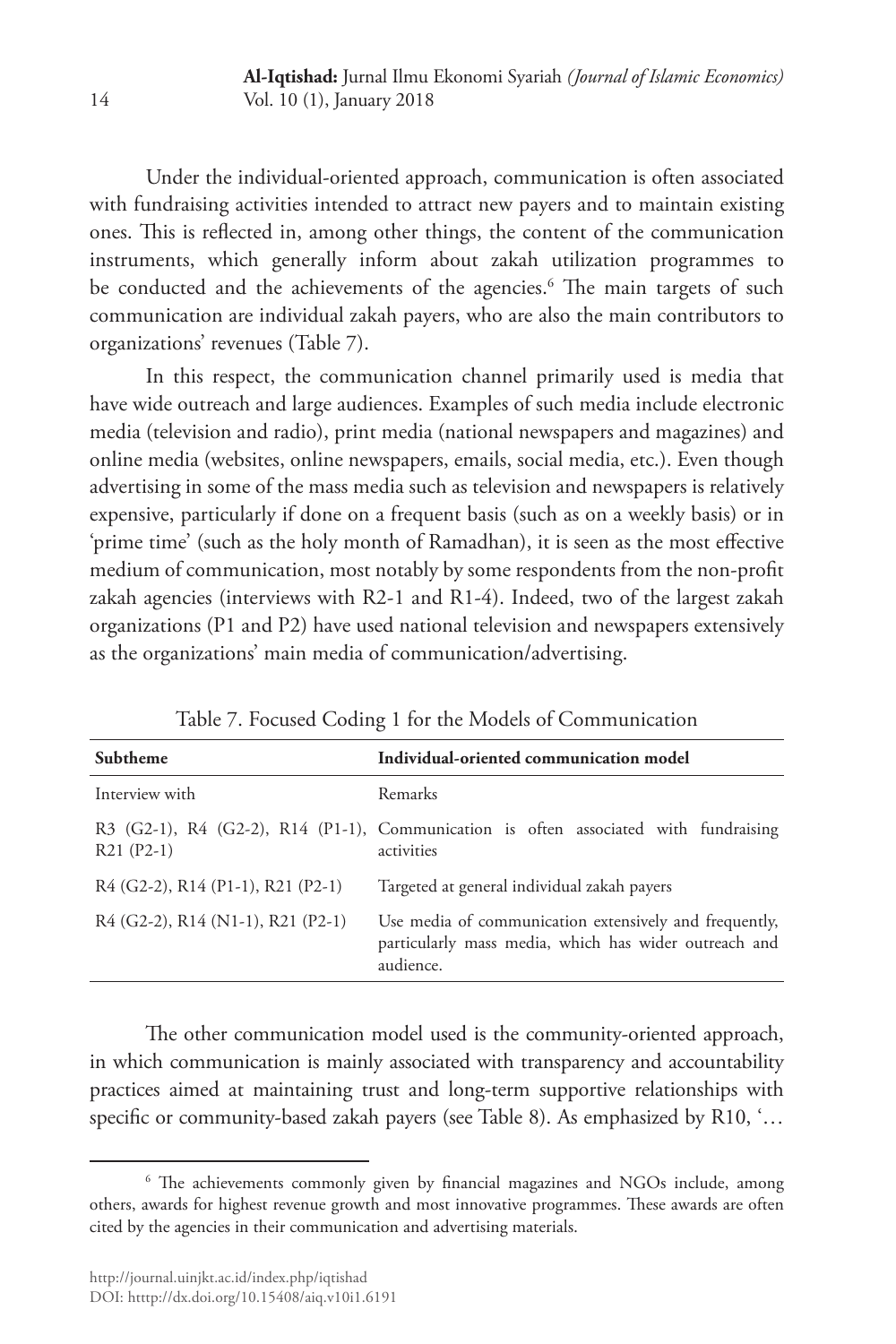Under the individual-oriented approach, communication is often associated with fundraising activities intended to attract new payers and to maintain existing ones. This is reflected in, among other things, the content of the communication instruments, which generally inform about zakah utilization programmes to be conducted and the achievements of the agencies.<sup>6</sup> The main targets of such communication are individual zakah payers, who are also the main contributors to organizations' revenues (Table 7).

In this respect, the communication channel primarily used is media that have wide outreach and large audiences. Examples of such media include electronic media (television and radio), print media (national newspapers and magazines) and online media (websites, online newspapers, emails, social media, etc.). Even though advertising in some of the mass media such as television and newspapers is relatively expensive, particularly if done on a frequent basis (such as on a weekly basis) or in 'prime time' (such as the holy month of Ramadhan), it is seen as the most effective medium of communication, most notably by some respondents from the non-profit zakah agencies (interviews with R2-1 and R1-4). Indeed, two of the largest zakah organizations (P1 and P2) have used national television and newspapers extensively as the organizations' main media of communication/advertising.

| Subtheme                              | Individual-oriented communication model                                                                                      |  |  |  |
|---------------------------------------|------------------------------------------------------------------------------------------------------------------------------|--|--|--|
| Interview with                        | Remarks                                                                                                                      |  |  |  |
| $R21 (P2-1)$                          | R3 (G2-1), R4 (G2-2), R14 (P1-1), Communication is often associated with fundraising<br>activities                           |  |  |  |
| $R4$ (G2-2), $R14$ (P1-1), R21 (P2-1) | Targeted at general individual zakah payers                                                                                  |  |  |  |
| $R4$ (G2-2), $R14$ (N1-1), R21 (P2-1) | Use media of communication extensively and frequently,<br>particularly mass media, which has wider outreach and<br>audience. |  |  |  |

Table 7. Focused Coding 1 for the Models of Communication

The other communication model used is the community-oriented approach, in which communication is mainly associated with transparency and accountability practices aimed at maintaining trust and long-term supportive relationships with specific or community-based zakah payers (see Table 8). As emphasized by R10, '…

<sup>6</sup> The achievements commonly given by financial magazines and NGOs include, among others, awards for highest revenue growth and most innovative programmes. These awards are often cited by the agencies in their communication and advertising materials.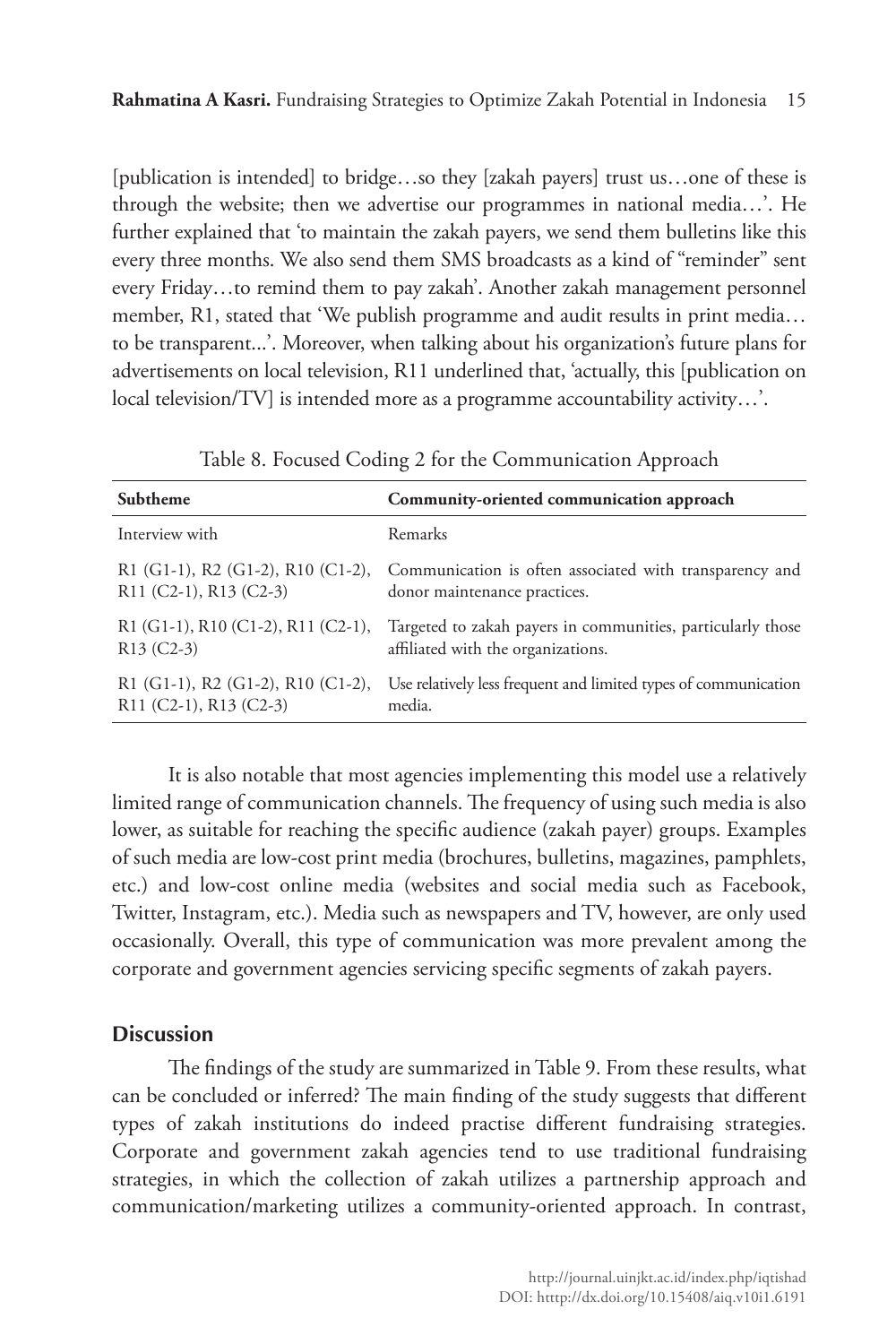[publication is intended] to bridge…so they [zakah payers] trust us…one of these is through the website; then we advertise our programmes in national media…'. He further explained that 'to maintain the zakah payers, we send them bulletins like this every three months. We also send them SMS broadcasts as a kind of "reminder" sent every Friday…to remind them to pay zakah'. Another zakah management personnel member, R1, stated that 'We publish programme and audit results in print media… to be transparent...'. Moreover, when talking about his organization's future plans for advertisements on local television, R11 underlined that, 'actually, this [publication on local television/TV] is intended more as a programme accountability activity…'.

| Subtheme                                                               | Community-oriented communication approach                                                                                            |
|------------------------------------------------------------------------|--------------------------------------------------------------------------------------------------------------------------------------|
| Interview with                                                         | Remarks                                                                                                                              |
| $R11 (C2-1), R13 (C2-3)$                                               | R1 (G1-1), R2 (G1-2), R10 (C1-2), Communication is often associated with transparency and<br>donor maintenance practices.            |
| $R13 (C2-3)$                                                           | R1 (G1-1), R10 (C1-2), R11 (C2-1), Targeted to zakah payers in communities, particularly those<br>affiliated with the organizations. |
| R1 $(G1-1)$ , R2 $(G1-2)$ , R10 $(C1-2)$ ,<br>$R11 (C2-1), R13 (C2-3)$ | Use relatively less frequent and limited types of communication<br>media.                                                            |

Table 8. Focused Coding 2 for the Communication Approach

It is also notable that most agencies implementing this model use a relatively limited range of communication channels. The frequency of using such media is also lower, as suitable for reaching the specific audience (zakah payer) groups. Examples of such media are low-cost print media (brochures, bulletins, magazines, pamphlets, etc.) and low-cost online media (websites and social media such as Facebook, Twitter, Instagram, etc.). Media such as newspapers and TV, however, are only used occasionally. Overall, this type of communication was more prevalent among the corporate and government agencies servicing specific segments of zakah payers.

# **Discussion**

The findings of the study are summarized in Table 9. From these results, what can be concluded or inferred? The main finding of the study suggests that different types of zakah institutions do indeed practise different fundraising strategies. Corporate and government zakah agencies tend to use traditional fundraising strategies, in which the collection of zakah utilizes a partnership approach and communication/marketing utilizes a community-oriented approach. In contrast,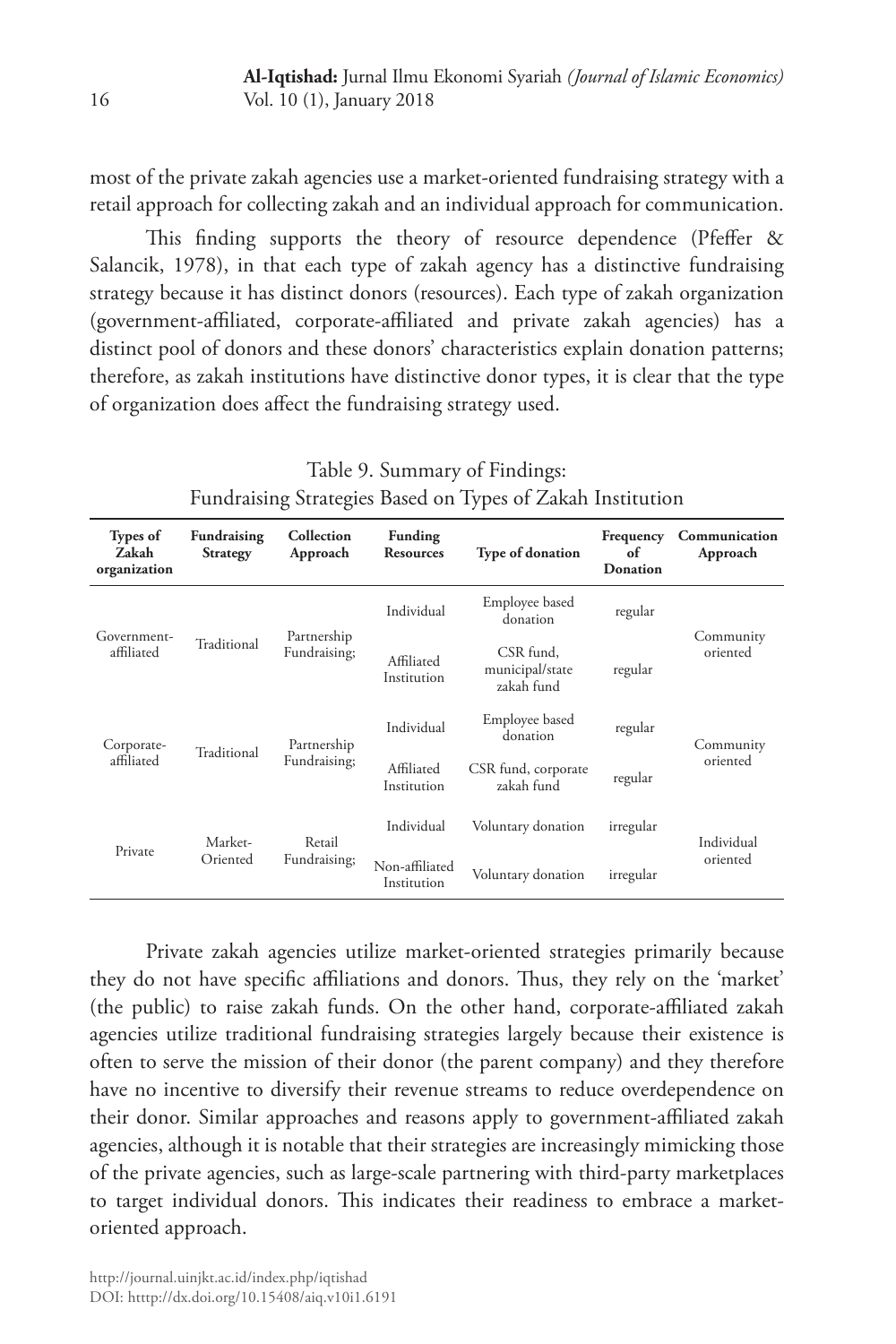most of the private zakah agencies use a market-oriented fundraising strategy with a retail approach for collecting zakah and an individual approach for communication.

This finding supports the theory of resource dependence (Pfeffer & Salancik, 1978), in that each type of zakah agency has a distinctive fundraising strategy because it has distinct donors (resources). Each type of zakah organization (government-affiliated, corporate-affiliated and private zakah agencies) has a distinct pool of donors and these donors' characteristics explain donation patterns; therefore, as zakah institutions have distinctive donor types, it is clear that the type of organization does affect the fundraising strategy used.

Table 9. Summary of Findings: Fundraising Strategies Based on Types of Zakah Institution

| <b>Types of</b><br>Zakah<br>organization | Fundraising<br><b>Strategy</b> | Collection<br>Approach      | Funding<br><b>Resources</b>   | <b>Type of donation</b>                    | Frequency<br>of<br>Donation | Communication<br>Approach |
|------------------------------------------|--------------------------------|-----------------------------|-------------------------------|--------------------------------------------|-----------------------------|---------------------------|
|                                          | Traditional                    | Partnership<br>Fundraising; | Individual                    | Employee based<br>donation                 | regular                     |                           |
| Government-<br>affiliated                |                                |                             | Affiliated<br>Institution     | CSR fund,<br>municipal/state<br>zakah fund | regular                     | Community<br>oriented     |
| Corporate-                               | Traditional                    | Partnership<br>Fundraising; | Individual                    | Employee based<br>donation                 | regular                     | Community<br>oriented     |
| affiliated                               |                                |                             | Affiliated<br>Institution     | CSR fund, corporate<br>zakah fund          | regular                     |                           |
| Private                                  | Market-<br>Oriented            | Retail<br>Fundraising;      | Individual                    | Voluntary donation                         | irregular                   | Individual                |
|                                          |                                |                             | Non-affiliated<br>Institution | Voluntary donation                         | irregular                   | oriented                  |

Private zakah agencies utilize market-oriented strategies primarily because they do not have specific affiliations and donors. Thus, they rely on the 'market' (the public) to raise zakah funds. On the other hand, corporate-affiliated zakah agencies utilize traditional fundraising strategies largely because their existence is often to serve the mission of their donor (the parent company) and they therefore have no incentive to diversify their revenue streams to reduce overdependence on their donor. Similar approaches and reasons apply to government-affiliated zakah agencies, although it is notable that their strategies are increasingly mimicking those of the private agencies, such as large-scale partnering with third-party marketplaces to target individual donors. This indicates their readiness to embrace a marketoriented approach.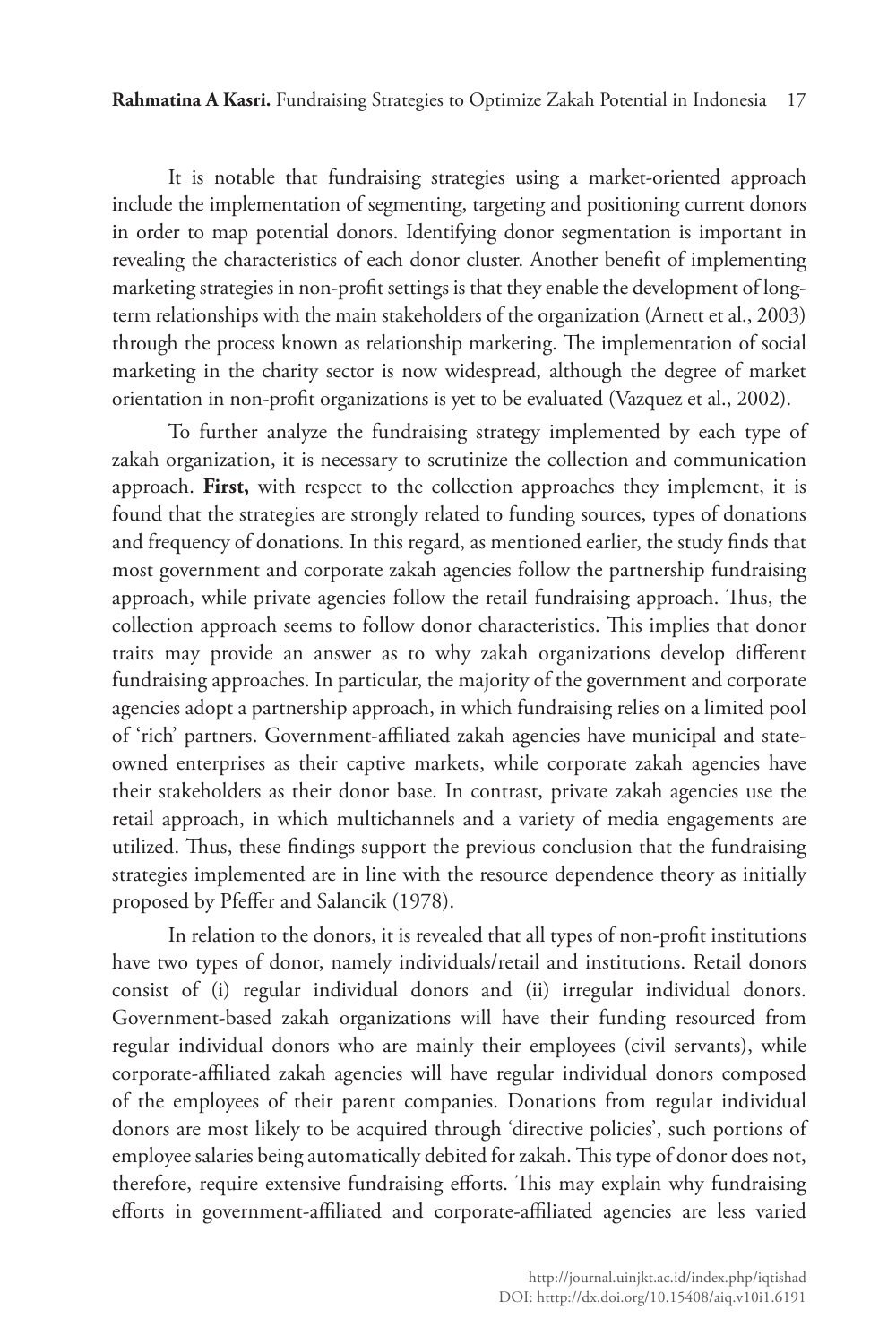It is notable that fundraising strategies using a market-oriented approach include the implementation of segmenting, targeting and positioning current donors in order to map potential donors. Identifying donor segmentation is important in revealing the characteristics of each donor cluster. Another benefit of implementing marketing strategies in non-profit settings is that they enable the development of longterm relationships with the main stakeholders of the organization (Arnett et al., 2003) through the process known as relationship marketing. The implementation of social marketing in the charity sector is now widespread, although the degree of market orientation in non-profit organizations is yet to be evaluated (Vazquez et al., 2002).

To further analyze the fundraising strategy implemented by each type of zakah organization, it is necessary to scrutinize the collection and communication approach. **First,** with respect to the collection approaches they implement, it is found that the strategies are strongly related to funding sources, types of donations and frequency of donations. In this regard, as mentioned earlier, the study finds that most government and corporate zakah agencies follow the partnership fundraising approach, while private agencies follow the retail fundraising approach. Thus, the collection approach seems to follow donor characteristics. This implies that donor traits may provide an answer as to why zakah organizations develop different fundraising approaches. In particular, the majority of the government and corporate agencies adopt a partnership approach, in which fundraising relies on a limited pool of 'rich' partners. Government-affiliated zakah agencies have municipal and stateowned enterprises as their captive markets, while corporate zakah agencies have their stakeholders as their donor base. In contrast, private zakah agencies use the retail approach, in which multichannels and a variety of media engagements are utilized. Thus, these findings support the previous conclusion that the fundraising strategies implemented are in line with the resource dependence theory as initially proposed by Pfeffer and Salancik (1978).

In relation to the donors, it is revealed that all types of non-profit institutions have two types of donor, namely individuals/retail and institutions. Retail donors consist of (i) regular individual donors and (ii) irregular individual donors. Government-based zakah organizations will have their funding resourced from regular individual donors who are mainly their employees (civil servants), while corporate-affiliated zakah agencies will have regular individual donors composed of the employees of their parent companies. Donations from regular individual donors are most likely to be acquired through 'directive policies', such portions of employee salaries being automatically debited for zakah. This type of donor does not, therefore, require extensive fundraising efforts. This may explain why fundraising efforts in government-affiliated and corporate-affiliated agencies are less varied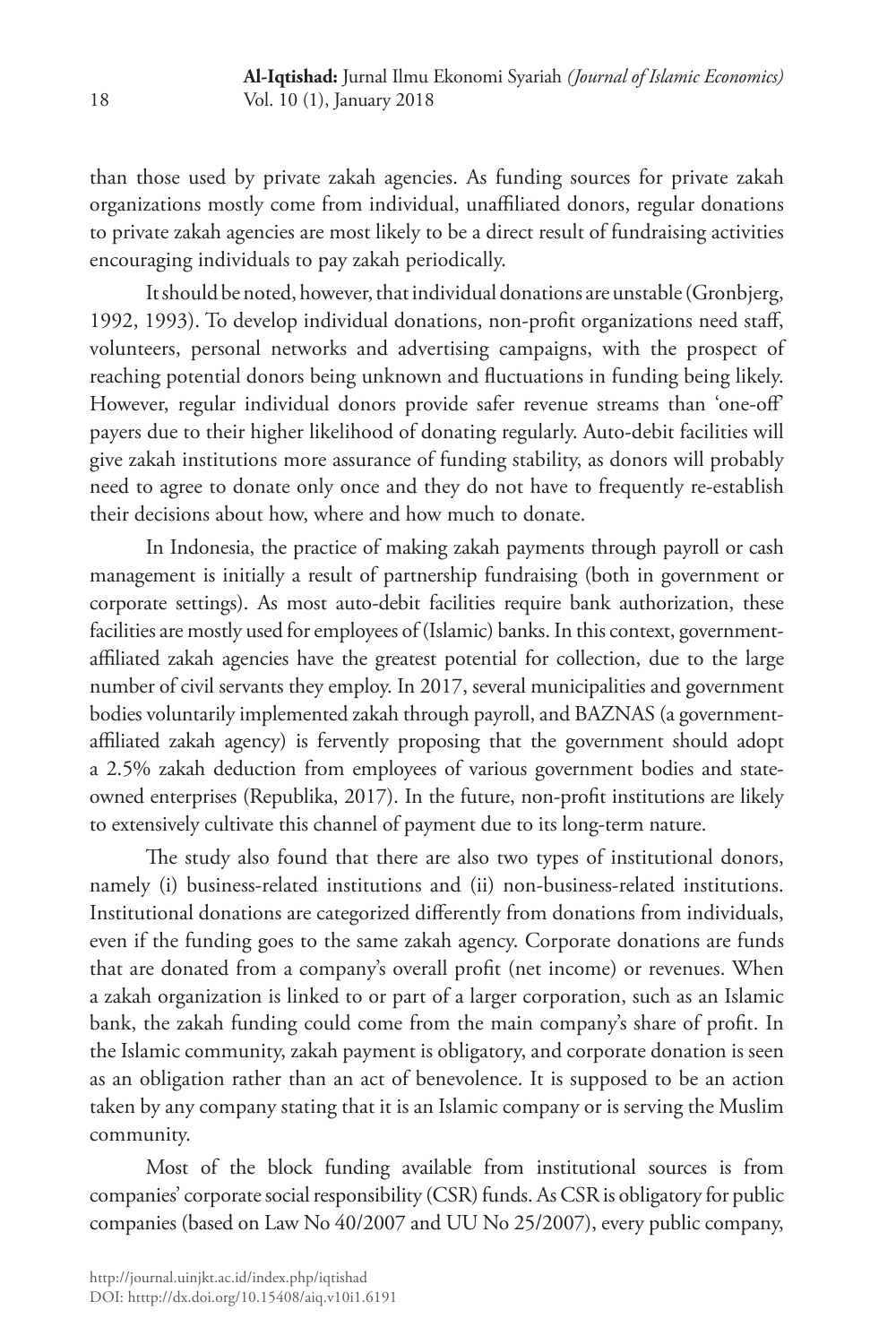than those used by private zakah agencies. As funding sources for private zakah organizations mostly come from individual, unaffiliated donors, regular donations to private zakah agencies are most likely to be a direct result of fundraising activities encouraging individuals to pay zakah periodically.

It should be noted, however, that individual donations are unstable (Gronbjerg, 1992, 1993). To develop individual donations, non-profit organizations need staff, volunteers, personal networks and advertising campaigns, with the prospect of reaching potential donors being unknown and fluctuations in funding being likely. However, regular individual donors provide safer revenue streams than 'one-off' payers due to their higher likelihood of donating regularly. Auto-debit facilities will give zakah institutions more assurance of funding stability, as donors will probably need to agree to donate only once and they do not have to frequently re-establish their decisions about how, where and how much to donate.

In Indonesia, the practice of making zakah payments through payroll or cash management is initially a result of partnership fundraising (both in government or corporate settings). As most auto-debit facilities require bank authorization, these facilities are mostly used for employees of (Islamic) banks. In this context, governmentaffiliated zakah agencies have the greatest potential for collection, due to the large number of civil servants they employ. In 2017, several municipalities and government bodies voluntarily implemented zakah through payroll, and BAZNAS (a governmentaffiliated zakah agency) is fervently proposing that the government should adopt a 2.5% zakah deduction from employees of various government bodies and stateowned enterprises (Republika, 2017). In the future, non-profit institutions are likely to extensively cultivate this channel of payment due to its long-term nature.

The study also found that there are also two types of institutional donors, namely (i) business-related institutions and (ii) non-business-related institutions. Institutional donations are categorized differently from donations from individuals, even if the funding goes to the same zakah agency. Corporate donations are funds that are donated from a company's overall profit (net income) or revenues. When a zakah organization is linked to or part of a larger corporation, such as an Islamic bank, the zakah funding could come from the main company's share of profit. In the Islamic community, zakah payment is obligatory, and corporate donation is seen as an obligation rather than an act of benevolence. It is supposed to be an action taken by any company stating that it is an Islamic company or is serving the Muslim community.

Most of the block funding available from institutional sources is from companies' corporate social responsibility (CSR) funds. As CSR is obligatory for public companies (based on Law No 40/2007 and UU No 25/2007), every public company,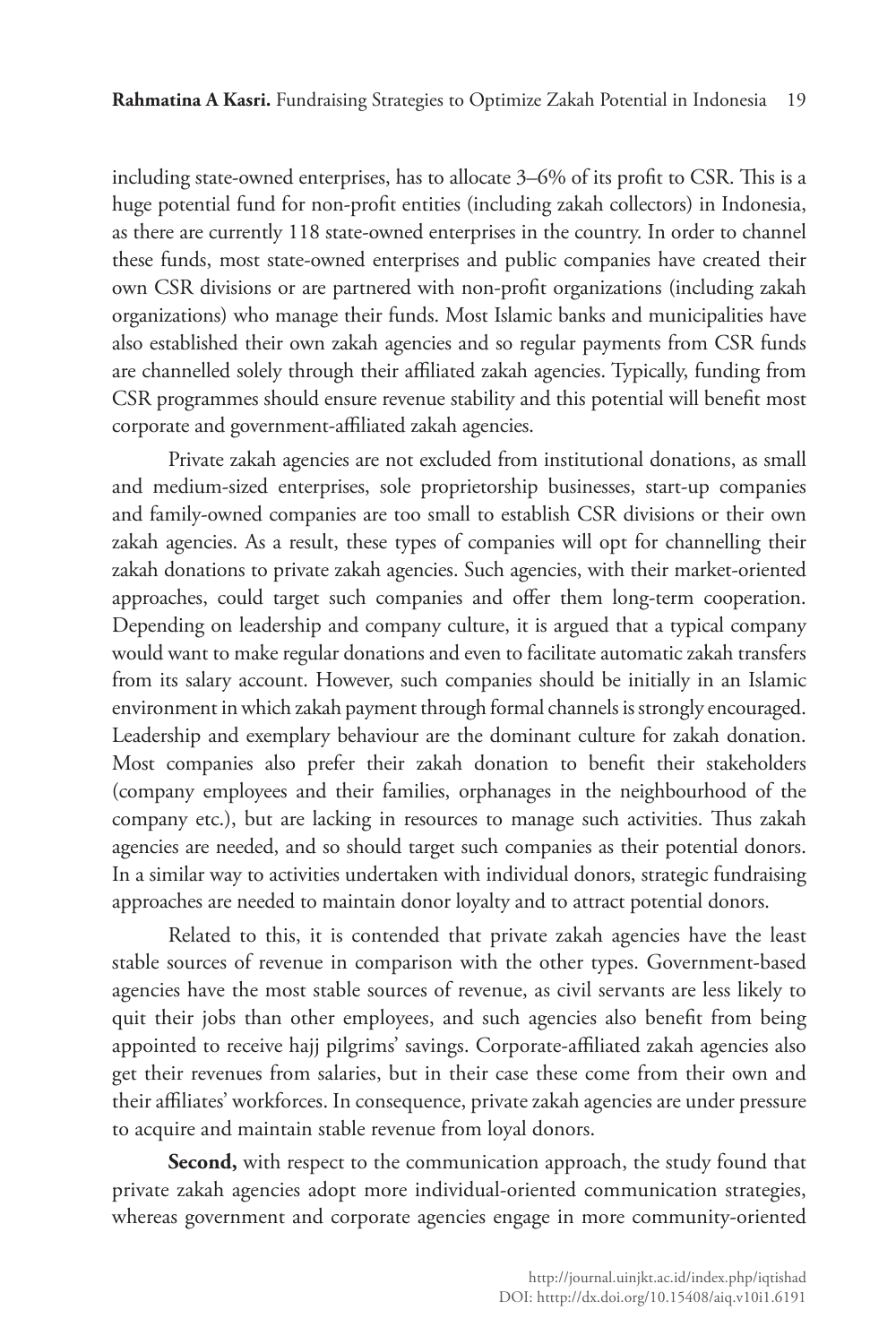including state-owned enterprises, has to allocate 3–6% of its profit to CSR. This is a huge potential fund for non-profit entities (including zakah collectors) in Indonesia, as there are currently 118 state-owned enterprises in the country. In order to channel these funds, most state-owned enterprises and public companies have created their own CSR divisions or are partnered with non-profit organizations (including zakah organizations) who manage their funds. Most Islamic banks and municipalities have also established their own zakah agencies and so regular payments from CSR funds are channelled solely through their affiliated zakah agencies. Typically, funding from CSR programmes should ensure revenue stability and this potential will benefit most corporate and government-affiliated zakah agencies.

Private zakah agencies are not excluded from institutional donations, as small and medium-sized enterprises, sole proprietorship businesses, start-up companies and family-owned companies are too small to establish CSR divisions or their own zakah agencies. As a result, these types of companies will opt for channelling their zakah donations to private zakah agencies. Such agencies, with their market-oriented approaches, could target such companies and offer them long-term cooperation. Depending on leadership and company culture, it is argued that a typical company would want to make regular donations and even to facilitate automatic zakah transfers from its salary account. However, such companies should be initially in an Islamic environment in which zakah payment through formal channels is strongly encouraged. Leadership and exemplary behaviour are the dominant culture for zakah donation. Most companies also prefer their zakah donation to benefit their stakeholders (company employees and their families, orphanages in the neighbourhood of the company etc.), but are lacking in resources to manage such activities. Thus zakah agencies are needed, and so should target such companies as their potential donors. In a similar way to activities undertaken with individual donors, strategic fundraising approaches are needed to maintain donor loyalty and to attract potential donors.

Related to this, it is contended that private zakah agencies have the least stable sources of revenue in comparison with the other types. Government-based agencies have the most stable sources of revenue, as civil servants are less likely to quit their jobs than other employees, and such agencies also benefit from being appointed to receive hajj pilgrims' savings. Corporate-affiliated zakah agencies also get their revenues from salaries, but in their case these come from their own and their affiliates' workforces. In consequence, private zakah agencies are under pressure to acquire and maintain stable revenue from loyal donors.

Second, with respect to the communication approach, the study found that private zakah agencies adopt more individual-oriented communication strategies, whereas government and corporate agencies engage in more community-oriented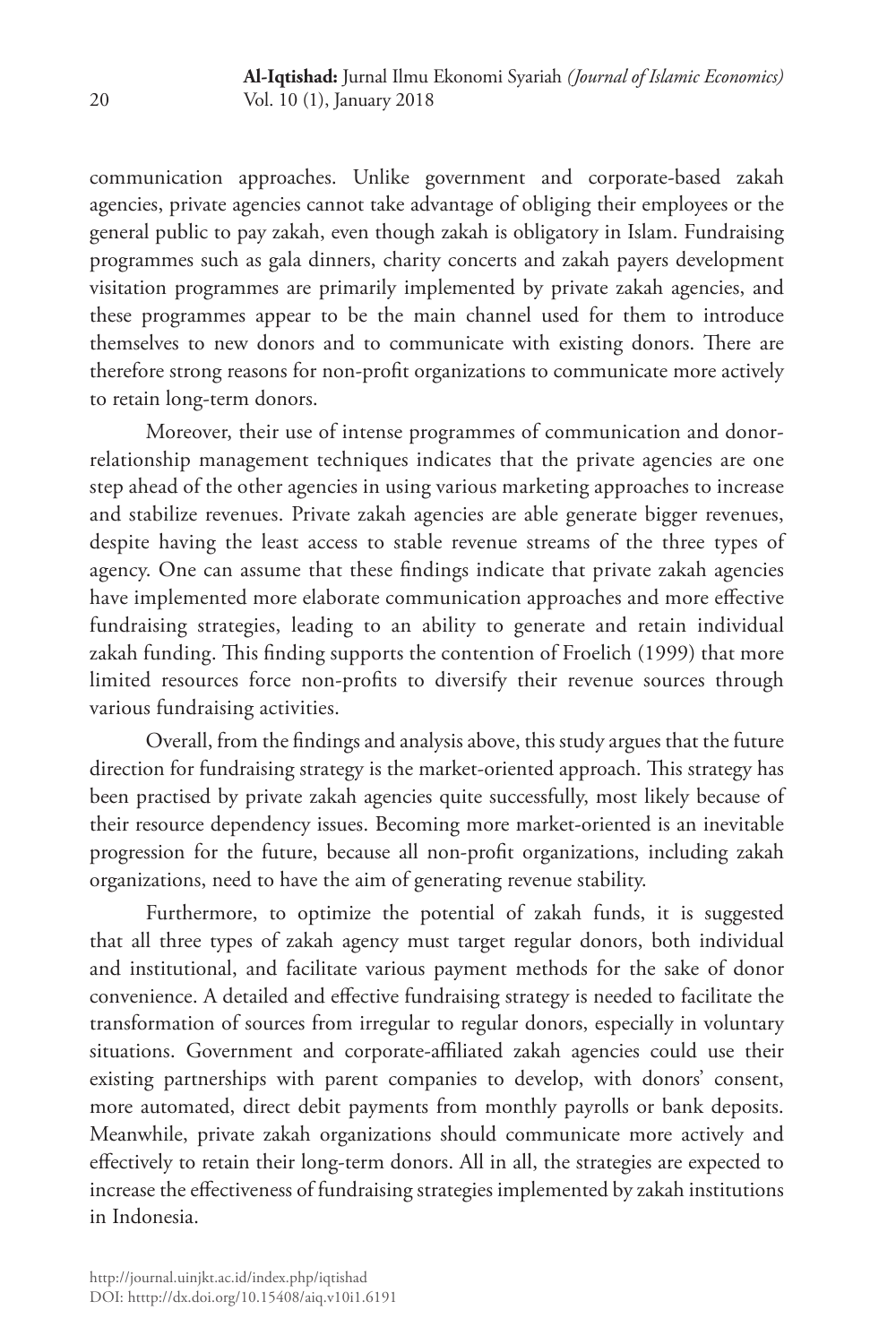communication approaches. Unlike government and corporate-based zakah agencies, private agencies cannot take advantage of obliging their employees or the general public to pay zakah, even though zakah is obligatory in Islam. Fundraising programmes such as gala dinners, charity concerts and zakah payers development visitation programmes are primarily implemented by private zakah agencies, and these programmes appear to be the main channel used for them to introduce themselves to new donors and to communicate with existing donors. There are therefore strong reasons for non-profit organizations to communicate more actively to retain long-term donors.

Moreover, their use of intense programmes of communication and donorrelationship management techniques indicates that the private agencies are one step ahead of the other agencies in using various marketing approaches to increase and stabilize revenues. Private zakah agencies are able generate bigger revenues, despite having the least access to stable revenue streams of the three types of agency. One can assume that these findings indicate that private zakah agencies have implemented more elaborate communication approaches and more effective fundraising strategies, leading to an ability to generate and retain individual zakah funding. This finding supports the contention of Froelich (1999) that more limited resources force non-profits to diversify their revenue sources through various fundraising activities.

Overall, from the findings and analysis above, this study argues that the future direction for fundraising strategy is the market-oriented approach. This strategy has been practised by private zakah agencies quite successfully, most likely because of their resource dependency issues. Becoming more market-oriented is an inevitable progression for the future, because all non-profit organizations, including zakah organizations, need to have the aim of generating revenue stability.

Furthermore, to optimize the potential of zakah funds, it is suggested that all three types of zakah agency must target regular donors, both individual and institutional, and facilitate various payment methods for the sake of donor convenience. A detailed and effective fundraising strategy is needed to facilitate the transformation of sources from irregular to regular donors, especially in voluntary situations. Government and corporate-affiliated zakah agencies could use their existing partnerships with parent companies to develop, with donors' consent, more automated, direct debit payments from monthly payrolls or bank deposits. Meanwhile, private zakah organizations should communicate more actively and effectively to retain their long-term donors. All in all, the strategies are expected to increase the effectiveness of fundraising strategies implemented by zakah institutions in Indonesia.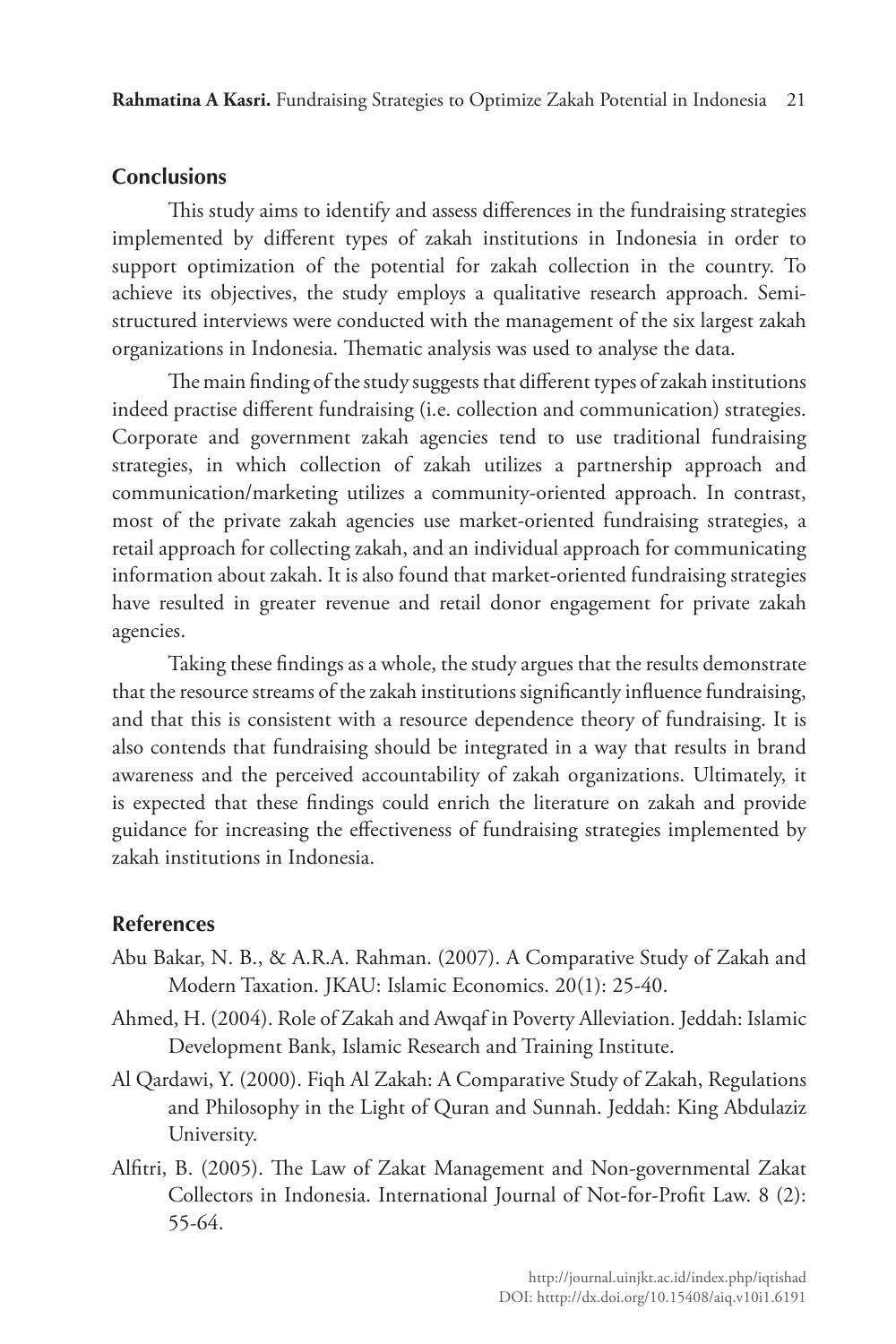# **Conclusions**

This study aims to identify and assess differences in the fundraising strategies implemented by different types of zakah institutions in Indonesia in order to support optimization of the potential for zakah collection in the country. To achieve its objectives, the study employs a qualitative research approach. Semistructured interviews were conducted with the management of the six largest zakah organizations in Indonesia. Thematic analysis was used to analyse the data.

The main finding of the study suggests that different types of zakah institutions indeed practise different fundraising (i.e. collection and communication) strategies. Corporate and government zakah agencies tend to use traditional fundraising strategies, in which collection of zakah utilizes a partnership approach and communication/marketing utilizes a community-oriented approach. In contrast, most of the private zakah agencies use market-oriented fundraising strategies, a retail approach for collecting zakah, and an individual approach for communicating information about zakah. It is also found that market-oriented fundraising strategies have resulted in greater revenue and retail donor engagement for private zakah agencies.

Taking these findings as a whole, the study argues that the results demonstrate that the resource streams of the zakah institutions significantly influence fundraising, and that this is consistent with a resource dependence theory of fundraising. It is also contends that fundraising should be integrated in a way that results in brand awareness and the perceived accountability of zakah organizations. Ultimately, it is expected that these findings could enrich the literature on zakah and provide guidance for increasing the effectiveness of fundraising strategies implemented by zakah institutions in Indonesia.

## **References**

- Abu Bakar, N. B., & A.R.A. Rahman. (2007). A Comparative Study of Zakah and Modern Taxation. JKAU: Islamic Economics. 20(1): 25-40.
- Ahmed, H. (2004). Role of Zakah and Awqaf in Poverty Alleviation. Jeddah: Islamic Development Bank, Islamic Research and Training Institute.
- Al Qardawi, Y. (2000). Fiqh Al Zakah: A Comparative Study of Zakah, Regulations and Philosophy in the Light of Quran and Sunnah. Jeddah: King Abdulaziz University.
- Alfitri, B. (2005). The Law of Zakat Management and Non-governmental Zakat Collectors in Indonesia. International Journal of Not-for-Profit Law. 8 (2): 55-64.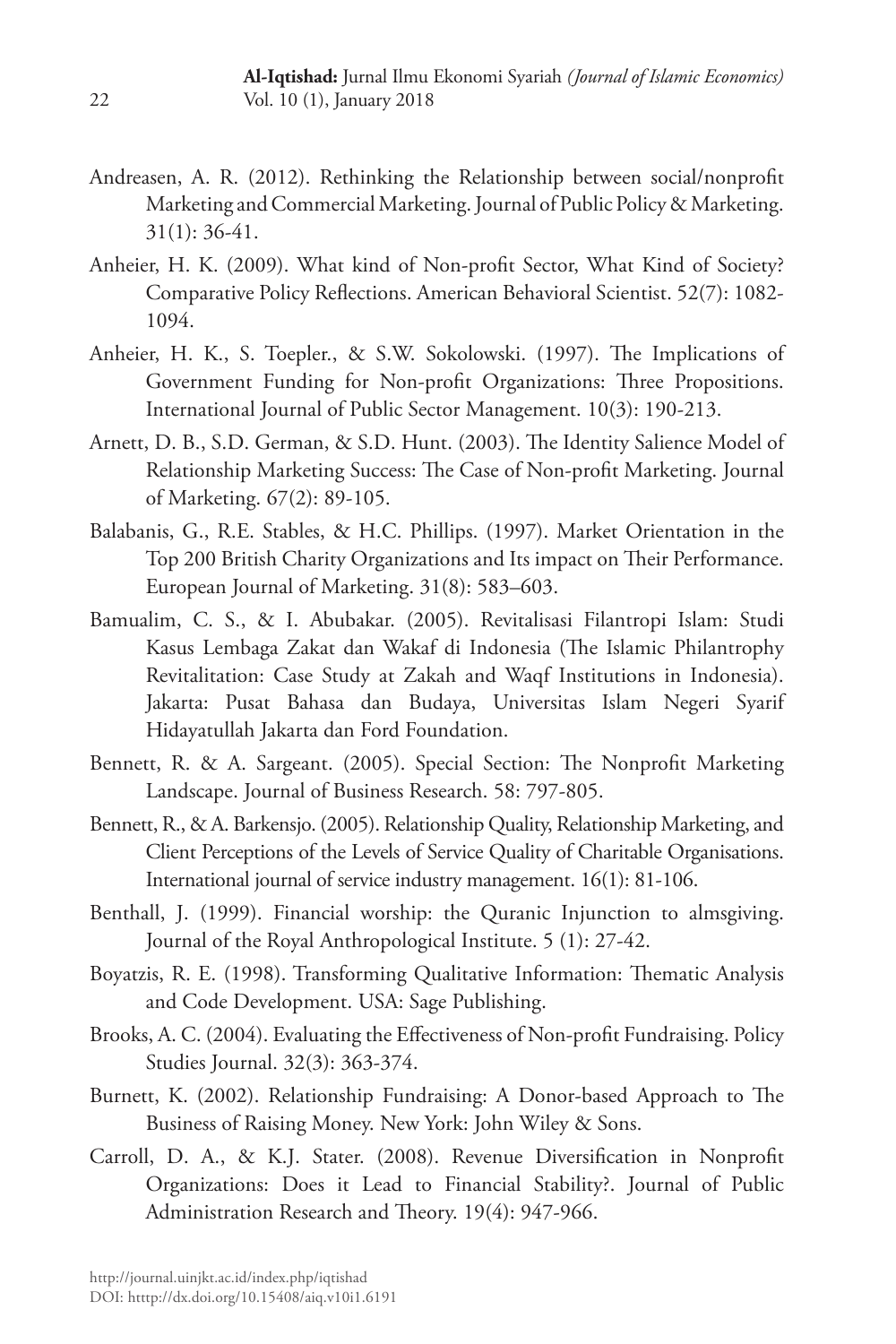- Andreasen, A. R. (2012). Rethinking the Relationship between social/nonprofit Marketing and Commercial Marketing. Journal of Public Policy & Marketing. 31(1): 36-41.
- Anheier, H. K. (2009). What kind of Non-profit Sector, What Kind of Society? Comparative Policy Reflections. American Behavioral Scientist. 52(7): 1082- 1094.
- Anheier, H. K., S. Toepler., & S.W. Sokolowski. (1997). The Implications of Government Funding for Non-profit Organizations: Three Propositions. International Journal of Public Sector Management. 10(3): 190-213.
- Arnett, D. B., S.D. German, & S.D. Hunt. (2003). The Identity Salience Model of Relationship Marketing Success: The Case of Non-profit Marketing. Journal of Marketing. 67(2): 89-105.
- Balabanis, G., R.E. Stables, & H.C. Phillips. (1997). Market Orientation in the Top 200 British Charity Organizations and Its impact on Their Performance. European Journal of Marketing. 31(8): 583–603.
- Bamualim, C. S., & I. Abubakar. (2005). Revitalisasi Filantropi Islam: Studi Kasus Lembaga Zakat dan Wakaf di Indonesia (The Islamic Philantrophy Revitalitation: Case Study at Zakah and Waqf Institutions in Indonesia). Jakarta: Pusat Bahasa dan Budaya, Universitas Islam Negeri Syarif Hidayatullah Jakarta dan Ford Foundation.
- Bennett, R. & A. Sargeant. (2005). Special Section: The Nonprofit Marketing Landscape. Journal of Business Research. 58: 797-805.
- Bennett, R., & A. Barkensjo. (2005). Relationship Quality, Relationship Marketing, and Client Perceptions of the Levels of Service Quality of Charitable Organisations. International journal of service industry management. 16(1): 81-106.
- Benthall, J. (1999). Financial worship: the Quranic Injunction to almsgiving. Journal of the Royal Anthropological Institute. 5 (1): 27-42.
- Boyatzis, R. E. (1998). Transforming Qualitative Information: Thematic Analysis and Code Development. USA: Sage Publishing.
- Brooks, A. C. (2004). Evaluating the Effectiveness of Non-profit Fundraising. Policy Studies Journal. 32(3): 363-374.
- Burnett, K. (2002). Relationship Fundraising: A Donor-based Approach to The Business of Raising Money. New York: John Wiley & Sons.
- Carroll, D. A., & K.J. Stater. (2008). Revenue Diversification in Nonprofit Organizations: Does it Lead to Financial Stability?. Journal of Public Administration Research and Theory. 19(4): 947-966.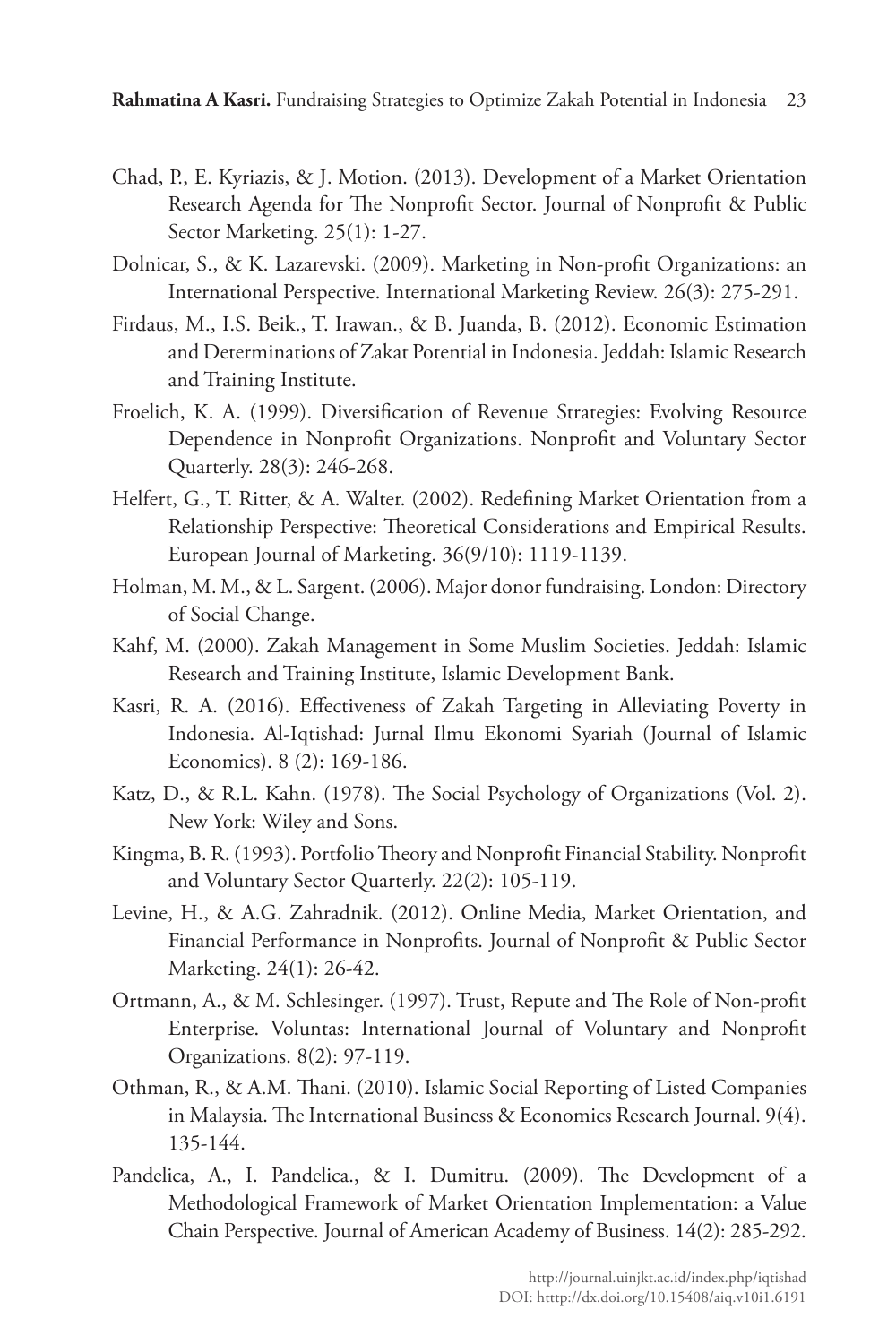- Chad, P., E. Kyriazis, & J. Motion. (2013). Development of a Market Orientation Research Agenda for The Nonprofit Sector. Journal of Nonprofit & Public Sector Marketing. 25(1): 1-27.
- Dolnicar, S., & K. Lazarevski. (2009). Marketing in Non-profit Organizations: an International Perspective. International Marketing Review. 26(3): 275-291.
- Firdaus, M., I.S. Beik., T. Irawan., & B. Juanda, B. (2012). Economic Estimation and Determinations of Zakat Potential in Indonesia. Jeddah: Islamic Research and Training Institute.
- Froelich, K. A. (1999). Diversification of Revenue Strategies: Evolving Resource Dependence in Nonprofit Organizations. Nonprofit and Voluntary Sector Quarterly. 28(3): 246-268.
- Helfert, G., T. Ritter, & A. Walter. (2002). Redefining Market Orientation from a Relationship Perspective: Theoretical Considerations and Empirical Results. European Journal of Marketing. 36(9/10): 1119-1139.
- Holman, M. M., & L. Sargent. (2006). Major donor fundraising. London: Directory of Social Change.
- Kahf, M. (2000). Zakah Management in Some Muslim Societies. Jeddah: Islamic Research and Training Institute, Islamic Development Bank.
- Kasri, R. A. (2016). Effectiveness of Zakah Targeting in Alleviating Poverty in Indonesia. Al-Iqtishad: Jurnal Ilmu Ekonomi Syariah (Journal of Islamic Economics). 8 (2): 169-186.
- Katz, D., & R.L. Kahn. (1978). The Social Psychology of Organizations (Vol. 2). New York: Wiley and Sons.
- Kingma, B. R. (1993). Portfolio Theory and Nonprofit Financial Stability. Nonprofit and Voluntary Sector Quarterly. 22(2): 105-119.
- Levine, H., & A.G. Zahradnik. (2012). Online Media, Market Orientation, and Financial Performance in Nonprofits. Journal of Nonprofit & Public Sector Marketing. 24(1): 26-42.
- Ortmann, A., & M. Schlesinger. (1997). Trust, Repute and The Role of Non-profit Enterprise. Voluntas: International Journal of Voluntary and Nonprofit Organizations. 8(2): 97-119.
- Othman, R., & A.M. Thani. (2010). Islamic Social Reporting of Listed Companies in Malaysia. The International Business & Economics Research Journal. 9(4). 135-144.
- Pandelica, A., I. Pandelica., & I. Dumitru. (2009). The Development of a Methodological Framework of Market Orientation Implementation: a Value Chain Perspective. Journal of American Academy of Business. 14(2): 285-292.